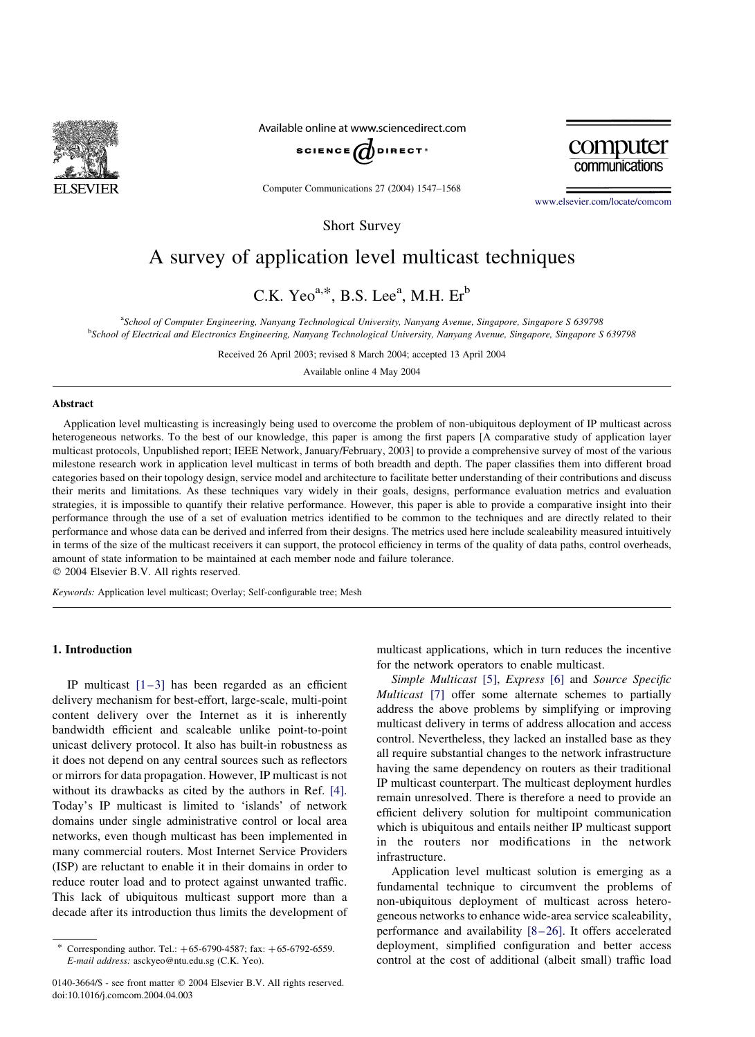

Available online at www.sciencedirect.com



Computer Communications 27 (2004) 1547–1568

computer communications

[www.elsevier.com/locate/comcom](http://www.elsevier.com/locate/comcom)

Short Survey

# A survey of application level multicast techniques

C.K. Yeo<sup>a,\*</sup>, B.S. Lee<sup>a</sup>, M.H.  $Er^b$ 

a School of Computer Engineering, Nanyang Technological University, Nanyang Avenue, Singapore, Singapore S 639798 **School of Electrical and Electronics Engineering, Nanyang Technological University, Nanyang Avenue, Singapore, Singapore S 639798** 

Received 26 April 2003; revised 8 March 2004; accepted 13 April 2004

Available online 4 May 2004

#### Abstract

Application level multicasting is increasingly being used to overcome the problem of non-ubiquitous deployment of IP multicast across heterogeneous networks. To the best of our knowledge, this paper is among the first papers [A comparative study of application layer multicast protocols, Unpublished report; IEEE Network, January/February, 2003] to provide a comprehensive survey of most of the various milestone research work in application level multicast in terms of both breadth and depth. The paper classifies them into different broad categories based on their topology design, service model and architecture to facilitate better understanding of their contributions and discuss their merits and limitations. As these techniques vary widely in their goals, designs, performance evaluation metrics and evaluation strategies, it is impossible to quantify their relative performance. However, this paper is able to provide a comparative insight into their performance through the use of a set of evaluation metrics identified to be common to the techniques and are directly related to their performance and whose data can be derived and inferred from their designs. The metrics used here include scaleability measured intuitively in terms of the size of the multicast receivers it can support, the protocol efficiency in terms of the quality of data paths, control overheads, amount of state information to be maintained at each member node and failure tolerance.

 $©$  2004 Elsevier B.V. All rights reserved.

Keywords: Application level multicast; Overlay; Self-configurable tree; Mesh

### 1. Introduction

IP multicast  $[1-3]$  has been regarded as an efficient delivery mechanism for best-effort, large-scale, multi-point content delivery over the Internet as it is inherently bandwidth efficient and scaleable unlike point-to-point unicast delivery protocol. It also has built-in robustness as it does not depend on any central sources such as reflectors or mirrors for data propagation. However, IP multicast is not without its drawbacks as cited by the authors in Ref. [\[4\]](#page-20-0). Today's IP multicast is limited to 'islands' of network domains under single administrative control or local area networks, even though multicast has been implemented in many commercial routers. Most Internet Service Providers (ISP) are reluctant to enable it in their domains in order to reduce router load and to protect against unwanted traffic. This lack of ubiquitous multicast support more than a decade after its introduction thus limits the development of

multicast applications, which in turn reduces the incentive for the network operators to enable multicast.

Simple Multicast [\[5\]](#page-20-0), Express [\[6\]](#page-20-0) and Source Specific Multicast [\[7\]](#page-20-0) offer some alternate schemes to partially address the above problems by simplifying or improving multicast delivery in terms of address allocation and access control. Nevertheless, they lacked an installed base as they all require substantial changes to the network infrastructure having the same dependency on routers as their traditional IP multicast counterpart. The multicast deployment hurdles remain unresolved. There is therefore a need to provide an efficient delivery solution for multipoint communication which is ubiquitous and entails neither IP multicast support in the routers nor modifications in the network infrastructure.

Application level multicast solution is emerging as a fundamental technique to circumvent the problems of non-ubiquitous deployment of multicast across heterogeneous networks to enhance wide-area service scaleability, performance and availability [\[8–26\]](#page-20-0). It offers accelerated deployment, simplified configuration and better access control at the cost of additional (albeit small) traffic load

Corresponding author. Tel.:  $+65-6790-4587$ ; fax:  $+65-6792-6559$ . E-mail address: asckyeo@ntu.edu.sg (C.K. Yeo).

<sup>0140-3664/\$ -</sup> see front matter © 2004 Elsevier B.V. All rights reserved. doi:10.1016/j.comcom.2004.04.003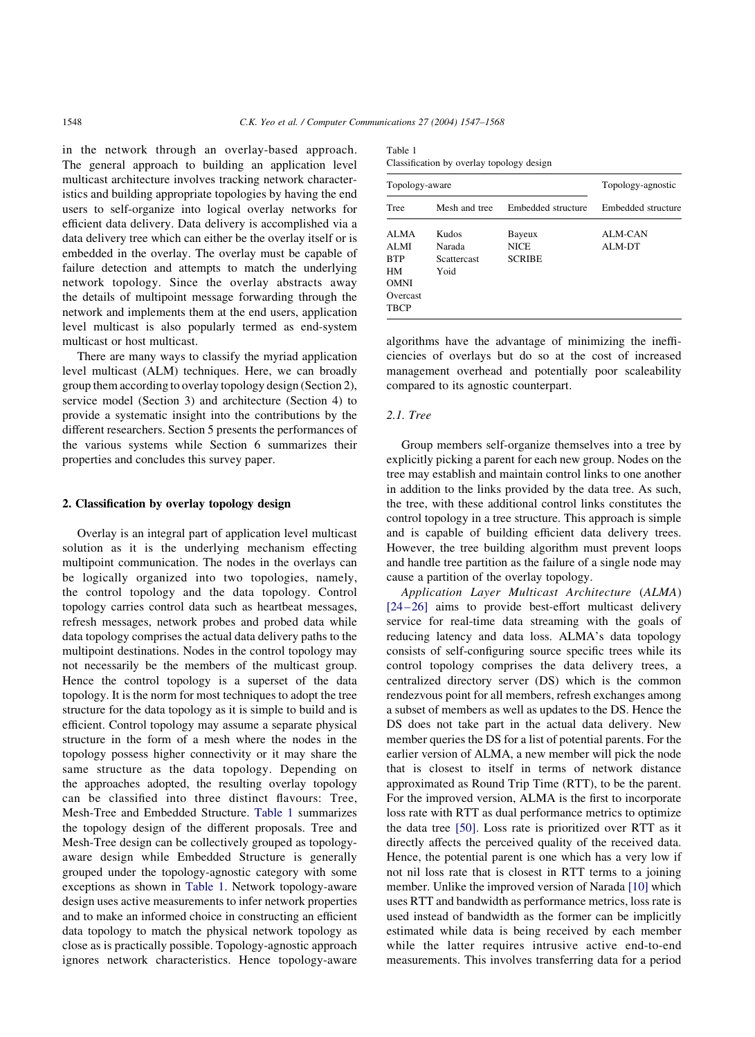Table 1

Classification by overlay topology design

in the network through an overlay-based approach. The general approach to building an application level multicast architecture involves tracking network characteristics and building appropriate topologies by having the end users to self-organize into logical overlay networks for efficient data delivery. Data delivery is accomplished via a data delivery tree which can either be the overlay itself or is embedded in the overlay. The overlay must be capable of failure detection and attempts to match the underlying network topology. Since the overlay abstracts away the details of multipoint message forwarding through the network and implements them at the end users, application level multicast is also popularly termed as end-system multicast or host multicast.

There are many ways to classify the myriad application level multicast (ALM) techniques. Here, we can broadly group them according to overlay topology design (Section 2), service model (Section 3) and architecture (Section 4) to provide a systematic insight into the contributions by the different researchers. Section 5 presents the performances of the various systems while Section 6 summarizes their properties and concludes this survey paper.

#### 2. Classification by overlay topology design

Overlay is an integral part of application level multicast solution as it is the underlying mechanism effecting multipoint communication. The nodes in the overlays can be logically organized into two topologies, namely, the control topology and the data topology. Control topology carries control data such as heartbeat messages, refresh messages, network probes and probed data while data topology comprises the actual data delivery paths to the multipoint destinations. Nodes in the control topology may not necessarily be the members of the multicast group. Hence the control topology is a superset of the data topology. It is the norm for most techniques to adopt the tree structure for the data topology as it is simple to build and is efficient. Control topology may assume a separate physical structure in the form of a mesh where the nodes in the topology possess higher connectivity or it may share the same structure as the data topology. Depending on the approaches adopted, the resulting overlay topology can be classified into three distinct flavours: Tree, Mesh-Tree and Embedded Structure. Table 1 summarizes the topology design of the different proposals. Tree and Mesh-Tree design can be collectively grouped as topologyaware design while Embedded Structure is generally grouped under the topology-agnostic category with some exceptions as shown in Table 1. Network topology-aware design uses active measurements to infer network properties and to make an informed choice in constructing an efficient data topology to match the physical network topology as close as is practically possible. Topology-agnostic approach ignores network characteristics. Hence topology-aware

| Topology-aware                                                             |                                        | Topology-agnostic                      |                    |
|----------------------------------------------------------------------------|----------------------------------------|----------------------------------------|--------------------|
| Tree                                                                       | Mesh and tree                          | Embedded structure                     | Embedded structure |
| ALMA<br>ALMI<br>BTP<br><b>HM</b><br><b>OMNI</b><br>Overcast<br><b>TBCP</b> | Kudos<br>Narada<br>Scattercast<br>Yoid | Bayeux<br><b>NICE</b><br><b>SCRIBE</b> | ALM-CAN<br>ALM-DT  |

algorithms have the advantage of minimizing the inefficiencies of overlays but do so at the cost of increased management overhead and potentially poor scaleability compared to its agnostic counterpart.

## 2.1. Tree

Group members self-organize themselves into a tree by explicitly picking a parent for each new group. Nodes on the tree may establish and maintain control links to one another in addition to the links provided by the data tree. As such, the tree, with these additional control links constitutes the control topology in a tree structure. This approach is simple and is capable of building efficient data delivery trees. However, the tree building algorithm must prevent loops and handle tree partition as the failure of a single node may cause a partition of the overlay topology.

Application Layer Multicast Architecture (ALMA) [\[24–26\]](#page-20-0) aims to provide best-effort multicast delivery service for real-time data streaming with the goals of reducing latency and data loss. ALMA's data topology consists of self-configuring source specific trees while its control topology comprises the data delivery trees, a centralized directory server (DS) which is the common rendezvous point for all members, refresh exchanges among a subset of members as well as updates to the DS. Hence the DS does not take part in the actual data delivery. New member queries the DS for a list of potential parents. For the earlier version of ALMA, a new member will pick the node that is closest to itself in terms of network distance approximated as Round Trip Time (RTT), to be the parent. For the improved version, ALMA is the first to incorporate loss rate with RTT as dual performance metrics to optimize the data tree [\[50\]](#page-21-0). Loss rate is prioritized over RTT as it directly affects the perceived quality of the received data. Hence, the potential parent is one which has a very low if not nil loss rate that is closest in RTT terms to a joining member. Unlike the improved version of Narada [\[10\]](#page-20-0) which uses RTT and bandwidth as performance metrics, loss rate is used instead of bandwidth as the former can be implicitly estimated while data is being received by each member while the latter requires intrusive active end-to-end measurements. This involves transferring data for a period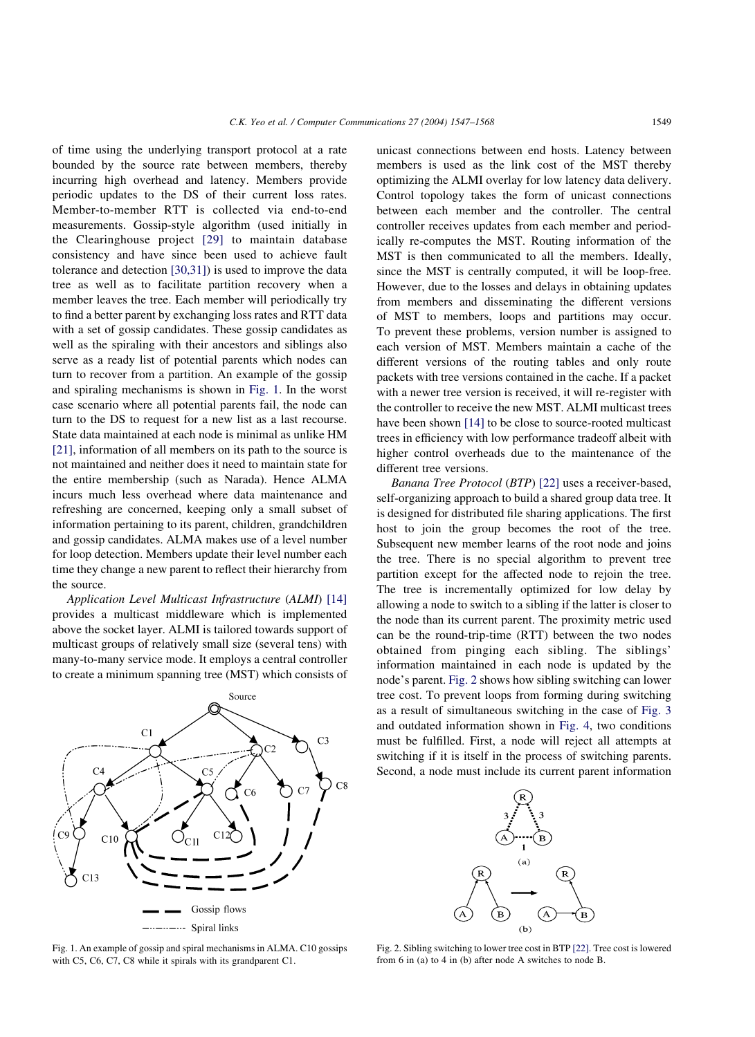of time using the underlying transport protocol at a rate bounded by the source rate between members, thereby incurring high overhead and latency. Members provide periodic updates to the DS of their current loss rates. Member-to-member RTT is collected via end-to-end measurements. Gossip-style algorithm (used initially in the Clearinghouse project [\[29\]](#page-20-0) to maintain database consistency and have since been used to achieve fault tolerance and detection [\[30,31\]\)](#page-20-0) is used to improve the data tree as well as to facilitate partition recovery when a member leaves the tree. Each member will periodically try to find a better parent by exchanging loss rates and RTT data with a set of gossip candidates. These gossip candidates as well as the spiraling with their ancestors and siblings also serve as a ready list of potential parents which nodes can turn to recover from a partition. An example of the gossip and spiraling mechanisms is shown in Fig. 1. In the worst case scenario where all potential parents fail, the node can turn to the DS to request for a new list as a last recourse. State data maintained at each node is minimal as unlike HM [\[21\]](#page-20-0), information of all members on its path to the source is not maintained and neither does it need to maintain state for the entire membership (such as Narada). Hence ALMA incurs much less overhead where data maintenance and refreshing are concerned, keeping only a small subset of information pertaining to its parent, children, grandchildren and gossip candidates. ALMA makes use of a level number for loop detection. Members update their level number each time they change a new parent to reflect their hierarchy from the source.

Application Level Multicast Infrastructure (ALMI) [\[14\]](#page-20-0) provides a multicast middleware which is implemented above the socket layer. ALMI is tailored towards support of multicast groups of relatively small size (several tens) with many-to-many service mode. It employs a central controller to create a minimum spanning tree (MST) which consists of



Fig. 1. An example of gossip and spiral mechanisms in ALMA. C10 gossips with C5, C6, C7, C8 while it spirals with its grandparent C1.

unicast connections between end hosts. Latency between members is used as the link cost of the MST thereby optimizing the ALMI overlay for low latency data delivery. Control topology takes the form of unicast connections between each member and the controller. The central controller receives updates from each member and periodically re-computes the MST. Routing information of the MST is then communicated to all the members. Ideally, since the MST is centrally computed, it will be loop-free. However, due to the losses and delays in obtaining updates from members and disseminating the different versions of MST to members, loops and partitions may occur. To prevent these problems, version number is assigned to each version of MST. Members maintain a cache of the different versions of the routing tables and only route packets with tree versions contained in the cache. If a packet with a newer tree version is received, it will re-register with the controller to receive the new MST. ALMI multicast trees have been shown [\[14\]](#page-20-0) to be close to source-rooted multicast trees in efficiency with low performance tradeoff albeit with higher control overheads due to the maintenance of the different tree versions.

Banana Tree Protocol (BTP) [\[22\]](#page-20-0) uses a receiver-based, self-organizing approach to build a shared group data tree. It is designed for distributed file sharing applications. The first host to join the group becomes the root of the tree. Subsequent new member learns of the root node and joins the tree. There is no special algorithm to prevent tree partition except for the affected node to rejoin the tree. The tree is incrementally optimized for low delay by allowing a node to switch to a sibling if the latter is closer to the node than its current parent. The proximity metric used can be the round-trip-time (RTT) between the two nodes obtained from pinging each sibling. The siblings' information maintained in each node is updated by the node's parent. Fig. 2 shows how sibling switching can lower tree cost. To prevent loops from forming during switching as a result of simultaneous switching in the case of [Fig. 3](#page-3-0) and outdated information shown in [Fig. 4](#page-3-0), two conditions must be fulfilled. First, a node will reject all attempts at switching if it is itself in the process of switching parents. Second, a node must include its current parent information



Fig. 2. Sibling switching to lower tree cost in BTP [\[22\].](#page-20-0) Tree cost is lowered from 6 in (a) to 4 in (b) after node A switches to node B.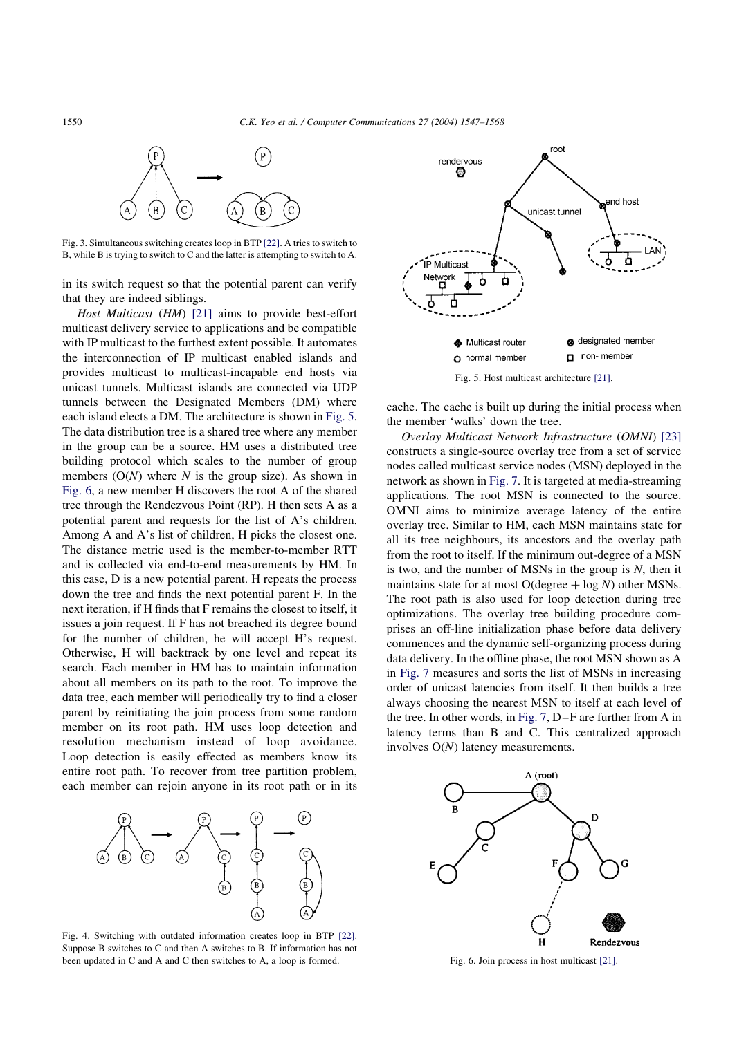<span id="page-3-0"></span>

Fig. 3. Simultaneous switching creates loop in BTP [\[22\].](#page-20-0) A tries to switch to B, while B is trying to switch to C and the latter is attempting to switch to A.

in its switch request so that the potential parent can verify that they are indeed siblings.

Host Multicast (HM) [\[21\]](#page-20-0) aims to provide best-effort multicast delivery service to applications and be compatible with IP multicast to the furthest extent possible. It automates the interconnection of IP multicast enabled islands and provides multicast to multicast-incapable end hosts via unicast tunnels. Multicast islands are connected via UDP tunnels between the Designated Members (DM) where each island elects a DM. The architecture is shown in Fig. 5. The data distribution tree is a shared tree where any member in the group can be a source. HM uses a distributed tree building protocol which scales to the number of group members  $(O(N)$  where N is the group size). As shown in Fig. 6, a new member H discovers the root A of the shared tree through the Rendezvous Point (RP). H then sets A as a potential parent and requests for the list of A's children. Among A and A's list of children, H picks the closest one. The distance metric used is the member-to-member RTT and is collected via end-to-end measurements by HM. In this case, D is a new potential parent. H repeats the process down the tree and finds the next potential parent F. In the next iteration, if H finds that F remains the closest to itself, it issues a join request. If F has not breached its degree bound for the number of children, he will accept H's request. Otherwise, H will backtrack by one level and repeat its search. Each member in HM has to maintain information about all members on its path to the root. To improve the data tree, each member will periodically try to find a closer parent by reinitiating the join process from some random member on its root path. HM uses loop detection and resolution mechanism instead of loop avoidance. Loop detection is easily effected as members know its entire root path. To recover from tree partition problem, each member can rejoin anyone in its root path or in its



Fig. 4. Switching with outdated information creates loop in BTP [\[22\].](#page-20-0) Suppose B switches to C and then A switches to B. If information has not been updated in C and A and C then switches to A, a loop is formed.



cache. The cache is built up during the initial process when the member 'walks' down the tree.

Overlay Multicast Network Infrastructure (OMNI) [\[23\]](#page-20-0) constructs a single-source overlay tree from a set of service nodes called multicast service nodes (MSN) deployed in the network as shown in [Fig. 7.](#page-4-0) It is targeted at media-streaming applications. The root MSN is connected to the source. OMNI aims to minimize average latency of the entire overlay tree. Similar to HM, each MSN maintains state for all its tree neighbours, its ancestors and the overlay path from the root to itself. If the minimum out-degree of a MSN is two, and the number of MSNs in the group is  $N$ , then it maintains state for at most  $O$ (degree  $+ \log N$ ) other MSNs. The root path is also used for loop detection during tree optimizations. The overlay tree building procedure comprises an off-line initialization phase before data delivery commences and the dynamic self-organizing process during data delivery. In the offline phase, the root MSN shown as A in [Fig. 7](#page-4-0) measures and sorts the list of MSNs in increasing order of unicast latencies from itself. It then builds a tree always choosing the nearest MSN to itself at each level of the tree. In other words, in [Fig. 7](#page-4-0), D–F are further from A in latency terms than B and C. This centralized approach involves  $O(N)$  latency measurements.



Fig. 6. Join process in host multicast [\[21\]](#page-20-0).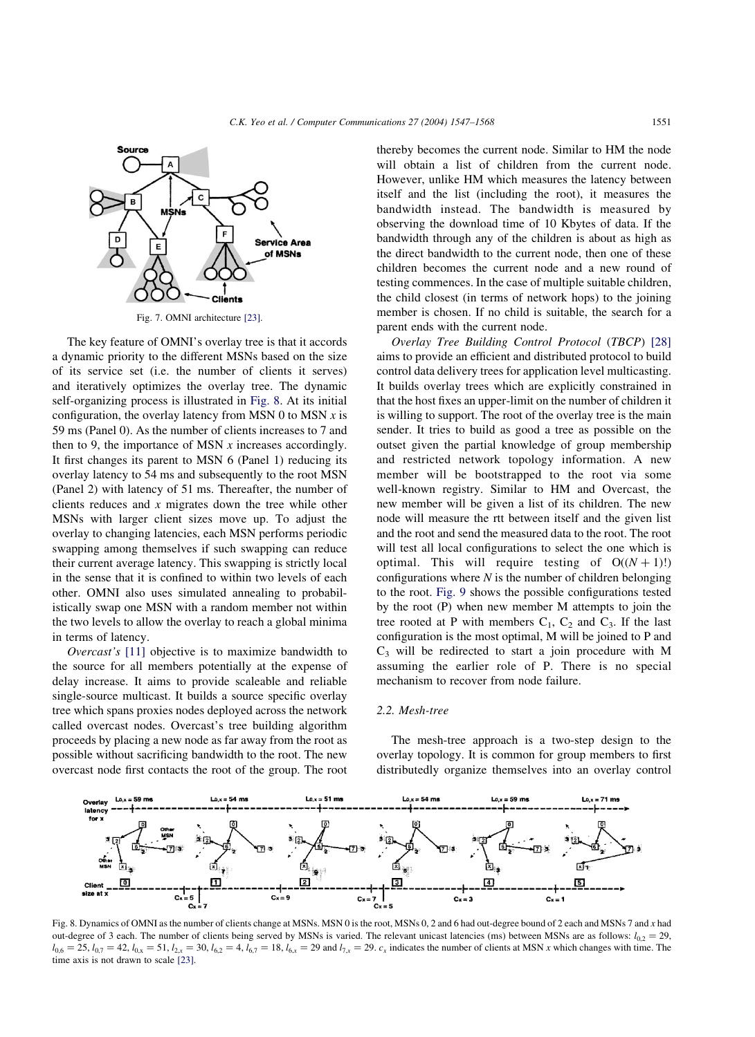<span id="page-4-0"></span>

Fig. 7. OMNI architecture [\[23\]](#page-20-0).

The key feature of OMNI's overlay tree is that it accords a dynamic priority to the different MSNs based on the size of its service set (i.e. the number of clients it serves) and iteratively optimizes the overlay tree. The dynamic self-organizing process is illustrated in Fig. 8. At its initial configuration, the overlay latency from MSN 0 to MSN  $x$  is 59 ms (Panel 0). As the number of clients increases to 7 and then to 9, the importance of MSN  $x$  increases accordingly. It first changes its parent to MSN 6 (Panel 1) reducing its overlay latency to 54 ms and subsequently to the root MSN (Panel 2) with latency of 51 ms. Thereafter, the number of clients reduces and  $x$  migrates down the tree while other MSNs with larger client sizes move up. To adjust the overlay to changing latencies, each MSN performs periodic swapping among themselves if such swapping can reduce their current average latency. This swapping is strictly local in the sense that it is confined to within two levels of each other. OMNI also uses simulated annealing to probabilistically swap one MSN with a random member not within the two levels to allow the overlay to reach a global minima in terms of latency.

Overcast's [\[11\]](#page-20-0) objective is to maximize bandwidth to the source for all members potentially at the expense of delay increase. It aims to provide scaleable and reliable single-source multicast. It builds a source specific overlay tree which spans proxies nodes deployed across the network called overcast nodes. Overcast's tree building algorithm proceeds by placing a new node as far away from the root as possible without sacrificing bandwidth to the root. The new overcast node first contacts the root of the group. The root thereby becomes the current node. Similar to HM the node will obtain a list of children from the current node. However, unlike HM which measures the latency between itself and the list (including the root), it measures the bandwidth instead. The bandwidth is measured by observing the download time of 10 Kbytes of data. If the bandwidth through any of the children is about as high as the direct bandwidth to the current node, then one of these children becomes the current node and a new round of testing commences. In the case of multiple suitable children, the child closest (in terms of network hops) to the joining member is chosen. If no child is suitable, the search for a parent ends with the current node.

Overlay Tree Building Control Protocol (TBCP) [\[28\]](#page-20-0) aims to provide an efficient and distributed protocol to build control data delivery trees for application level multicasting. It builds overlay trees which are explicitly constrained in that the host fixes an upper-limit on the number of children it is willing to support. The root of the overlay tree is the main sender. It tries to build as good a tree as possible on the outset given the partial knowledge of group membership and restricted network topology information. A new member will be bootstrapped to the root via some well-known registry. Similar to HM and Overcast, the new member will be given a list of its children. The new node will measure the rtt between itself and the given list and the root and send the measured data to the root. The root will test all local configurations to select the one which is optimal. This will require testing of  $O((N + 1)!)$ configurations where  $N$  is the number of children belonging to the root. [Fig. 9](#page-5-0) shows the possible configurations tested by the root (P) when new member M attempts to join the tree rooted at P with members  $C_1$ ,  $C_2$  and  $C_3$ . If the last configuration is the most optimal, M will be joined to P and  $C_3$  will be redirected to start a join procedure with M assuming the earlier role of P. There is no special mechanism to recover from node failure.

#### 2.2. Mesh-tree

The mesh-tree approach is a two-step design to the overlay topology. It is common for group members to first distributedly organize themselves into an overlay control



Fig. 8. Dynamics of OMNI as the number of clients change at MSNs. MSN 0 is the root, MSNs 0, 2 and 6 had out-degree bound of 2 each and MSNs 7 and x had out-degree of 3 each. The number of clients being served by MSNs is varied. The relevant unicast latencies (ms) between MSNs are as follows:  $l_{0,2} = 29$ ,  $l_{0,6} = 25$ ,  $l_{0,7} = 42$ ,  $l_{0,x} = 51$ ,  $l_{2,x} = 30$ ,  $l_{6,2} = 4$ ,  $l_{6,7} = 18$ ,  $l_{6,x} = 29$  and  $l_{7,x} = 29$ .  $c_x$  indicates the number of clients at MSN x which changes with time. The time axis is not drawn to scale [\[23\]](#page-20-0).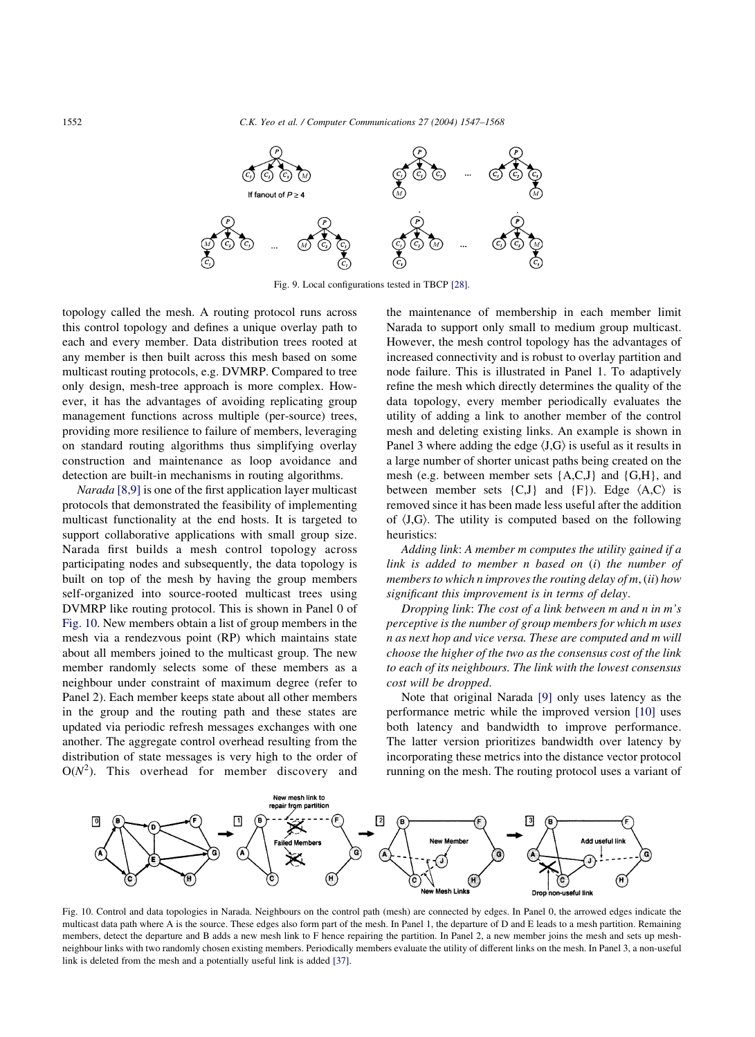

Fig. 9. Local configurations tested in TBCP [\[28\]](#page-20-0).

topology called the mesh. A routing protocol runs across this control topology and defines a unique overlay path to each and every member. Data distribution trees rooted at any member is then built across this mesh based on some multicast routing protocols, e.g. DVMRP. Compared to tree only design, mesh-tree approach is more complex. However, it has the advantages of avoiding replicating group management functions across multiple (per-source) trees, providing more resilience to failure of members, leveraging on standard routing algorithms thus simplifying overlay construction and maintenance as loop avoidance and detection are built-in mechanisms in routing algorithms.

Narada [\[8,9\]](#page-20-0) is one of the first application layer multicast protocols that demonstrated the feasibility of implementing multicast functionality at the end hosts. It is targeted to support collaborative applications with small group size. Narada first builds a mesh control topology across participating nodes and subsequently, the data topology is built on top of the mesh by having the group members self-organized into source-rooted multicast trees using DVMRP like routing protocol. This is shown in Panel 0 of Fig. 10. New members obtain a list of group members in the mesh via a rendezvous point (RP) which maintains state about all members joined to the multicast group. The new member randomly selects some of these members as a neighbour under constraint of maximum degree (refer to Panel 2). Each member keeps state about all other members in the group and the routing path and these states are updated via periodic refresh messages exchanges with one another. The aggregate control overhead resulting from the distribution of state messages is very high to the order of  $O(N^2)$ . This overhead for member discovery and

the maintenance of membership in each member limit Narada to support only small to medium group multicast. However, the mesh control topology has the advantages of increased connectivity and is robust to overlay partition and node failure. This is illustrated in Panel 1. To adaptively refine the mesh which directly determines the quality of the data topology, every member periodically evaluates the utility of adding a link to another member of the control mesh and deleting existing links. An example is shown in Panel 3 where adding the edge  $\langle J, G \rangle$  is useful as it results in a large number of shorter unicast paths being created on the mesh (e.g. between member sets {A,C,J} and {G,H}, and between member sets  $\{C, J\}$  and  $\{F\}$ ). Edge  $\langle A, C \rangle$  is removed since it has been made less useful after the addition of  $\langle J, G \rangle$ . The utility is computed based on the following heuristics:

Adding link: A member m computes the utility gained if a link is added to member n based on (i) the number of members to which n improves the routing delay of m, (ii) how significant this improvement is in terms of delay.

Dropping link: The cost of a link between m and n in m's perceptive is the number of group members for which m uses n as next hop and vice versa. These are computed and m will choose the higher of the two as the consensus cost of the link to each of its neighbours. The link with the lowest consensus cost will be dropped.

Note that original Narada [\[9\]](#page-20-0) only uses latency as the performance metric while the improved version [\[10\]](#page-20-0) uses both latency and bandwidth to improve performance. The latter version prioritizes bandwidth over latency by incorporating these metrics into the distance vector protocol running on the mesh. The routing protocol uses a variant of



Fig. 10. Control and data topologies in Narada. Neighbours on the control path (mesh) are connected by edges. In Panel 0, the arrowed edges indicate the multicast data path where A is the source. These edges also form part of the mesh. In Panel 1, the departure of D and E leads to a mesh partition. Remaining members, detect the departure and B adds a new mesh link to F hence repairing the partition. In Panel 2, a new member joins the mesh and sets up meshneighbour links with two randomly chosen existing members. Periodically members evaluate the utility of different links on the mesh. In Panel 3, a non-useful link is deleted from the mesh and a potentially useful link is added [\[37\]](#page-20-0).

<span id="page-5-0"></span>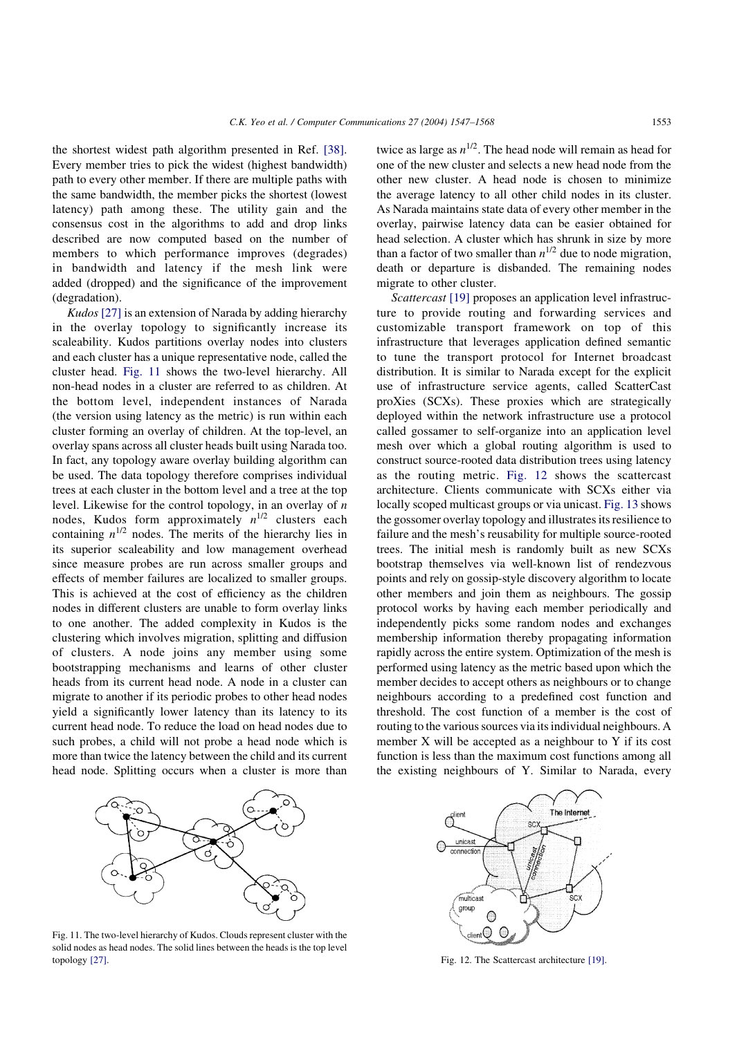the shortest widest path algorithm presented in Ref. [\[38\]](#page-20-0). Every member tries to pick the widest (highest bandwidth) path to every other member. If there are multiple paths with the same bandwidth, the member picks the shortest (lowest latency) path among these. The utility gain and the consensus cost in the algorithms to add and drop links described are now computed based on the number of members to which performance improves (degrades) in bandwidth and latency if the mesh link were added (dropped) and the significance of the improvement (degradation).

Kudos [\[27\]](#page-20-0) is an extension of Narada by adding hierarchy in the overlay topology to significantly increase its scaleability. Kudos partitions overlay nodes into clusters and each cluster has a unique representative node, called the cluster head. Fig. 11 shows the two-level hierarchy. All non-head nodes in a cluster are referred to as children. At the bottom level, independent instances of Narada (the version using latency as the metric) is run within each cluster forming an overlay of children. At the top-level, an overlay spans across all cluster heads built using Narada too. In fact, any topology aware overlay building algorithm can be used. The data topology therefore comprises individual trees at each cluster in the bottom level and a tree at the top level. Likewise for the control topology, in an overlay of  $n$ nodes, Kudos form approximately  $n^{1/2}$  clusters each containing  $n^{1/2}$  nodes. The merits of the hierarchy lies in its superior scaleability and low management overhead since measure probes are run across smaller groups and effects of member failures are localized to smaller groups. This is achieved at the cost of efficiency as the children nodes in different clusters are unable to form overlay links to one another. The added complexity in Kudos is the clustering which involves migration, splitting and diffusion of clusters. A node joins any member using some bootstrapping mechanisms and learns of other cluster heads from its current head node. A node in a cluster can migrate to another if its periodic probes to other head nodes yield a significantly lower latency than its latency to its current head node. To reduce the load on head nodes due to such probes, a child will not probe a head node which is more than twice the latency between the child and its current head node. Splitting occurs when a cluster is more than



Scattercast [\[19\]](#page-20-0) proposes an application level infrastructure to provide routing and forwarding services and customizable transport framework on top of this infrastructure that leverages application defined semantic to tune the transport protocol for Internet broadcast distribution. It is similar to Narada except for the explicit use of infrastructure service agents, called ScatterCast proXies (SCXs). These proxies which are strategically deployed within the network infrastructure use a protocol called gossamer to self-organize into an application level mesh over which a global routing algorithm is used to construct source-rooted data distribution trees using latency as the routing metric. Fig. 12 shows the scattercast architecture. Clients communicate with SCXs either via locally scoped multicast groups or via unicast. [Fig. 13](#page-7-0) shows the gossomer overlay topology and illustrates its resilience to failure and the mesh's reusability for multiple source-rooted trees. The initial mesh is randomly built as new SCXs bootstrap themselves via well-known list of rendezvous points and rely on gossip-style discovery algorithm to locate other members and join them as neighbours. The gossip protocol works by having each member periodically and independently picks some random nodes and exchanges membership information thereby propagating information rapidly across the entire system. Optimization of the mesh is performed using latency as the metric based upon which the member decides to accept others as neighbours or to change neighbours according to a predefined cost function and threshold. The cost function of a member is the cost of routing to the various sources via its individual neighbours. A member X will be accepted as a neighbour to Y if its cost function is less than the maximum cost functions among all the existing neighbours of Y. Similar to Narada, every



Fig. 11. The two-level hierarchy of Kudos. Clouds represent cluster with the solid nodes as head nodes. The solid lines between the heads is the top level topology [\[27\]](#page-20-0). Fig. 12. The Scattercast architecture [\[19\]](#page-20-0).

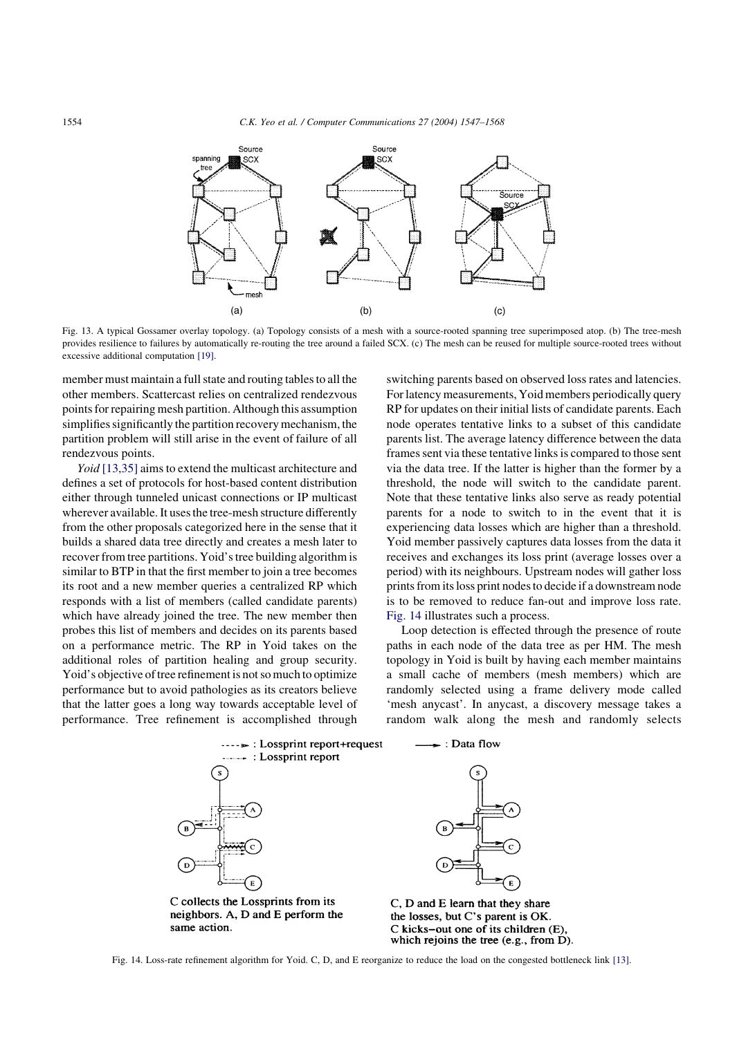<span id="page-7-0"></span>

Fig. 13. A typical Gossamer overlay topology. (a) Topology consists of a mesh with a source-rooted spanning tree superimposed atop. (b) The tree-mesh provides resilience to failures by automatically re-routing the tree around a failed SCX. (c) The mesh can be reused for multiple source-rooted trees without excessive additional computation [\[19\]](#page-20-0).

member must maintain a full state and routing tables to all the other members. Scattercast relies on centralized rendezvous points for repairing mesh partition. Although this assumption simplifies significantly the partition recovery mechanism, the partition problem will still arise in the event of failure of all rendezvous points.

Yoid [\[13,35\]](#page-20-0) aims to extend the multicast architecture and defines a set of protocols for host-based content distribution either through tunneled unicast connections or IP multicast wherever available. It uses the tree-mesh structure differently from the other proposals categorized here in the sense that it builds a shared data tree directly and creates a mesh later to recover from tree partitions. Yoid's tree building algorithm is similar to BTP in that the first member to join a tree becomes its root and a new member queries a centralized RP which responds with a list of members (called candidate parents) which have already joined the tree. The new member then probes this list of members and decides on its parents based on a performance metric. The RP in Yoid takes on the additional roles of partition healing and group security. Yoid's objective of tree refinement is not so much to optimize performance but to avoid pathologies as its creators believe that the latter goes a long way towards acceptable level of performance. Tree refinement is accomplished through

switching parents based on observed loss rates and latencies. For latency measurements, Yoid members periodically query RP for updates on their initial lists of candidate parents. Each node operates tentative links to a subset of this candidate parents list. The average latency difference between the data frames sent via these tentative links is compared to those sent via the data tree. If the latter is higher than the former by a threshold, the node will switch to the candidate parent. Note that these tentative links also serve as ready potential parents for a node to switch to in the event that it is experiencing data losses which are higher than a threshold. Yoid member passively captures data losses from the data it receives and exchanges its loss print (average losses over a period) with its neighbours. Upstream nodes will gather loss prints from its loss print nodes to decide if a downstream node is to be removed to reduce fan-out and improve loss rate. Fig. 14 illustrates such a process.

Loop detection is effected through the presence of route paths in each node of the data tree as per HM. The mesh topology in Yoid is built by having each member maintains a small cache of members (mesh members) which are randomly selected using a frame delivery mode called 'mesh anycast'. In anycast, a discovery message takes a random walk along the mesh and randomly selects



C, D and E learn that they share the losses, but C's parent is OK. C kicks-out one of its children (E). which rejoins the tree  $(e.g., from D)$ .

Fig. 14. Loss-rate refinement algorithm for Yoid. C, D, and E reorganize to reduce the load on the congested bottleneck link [\[13\]](#page-20-0).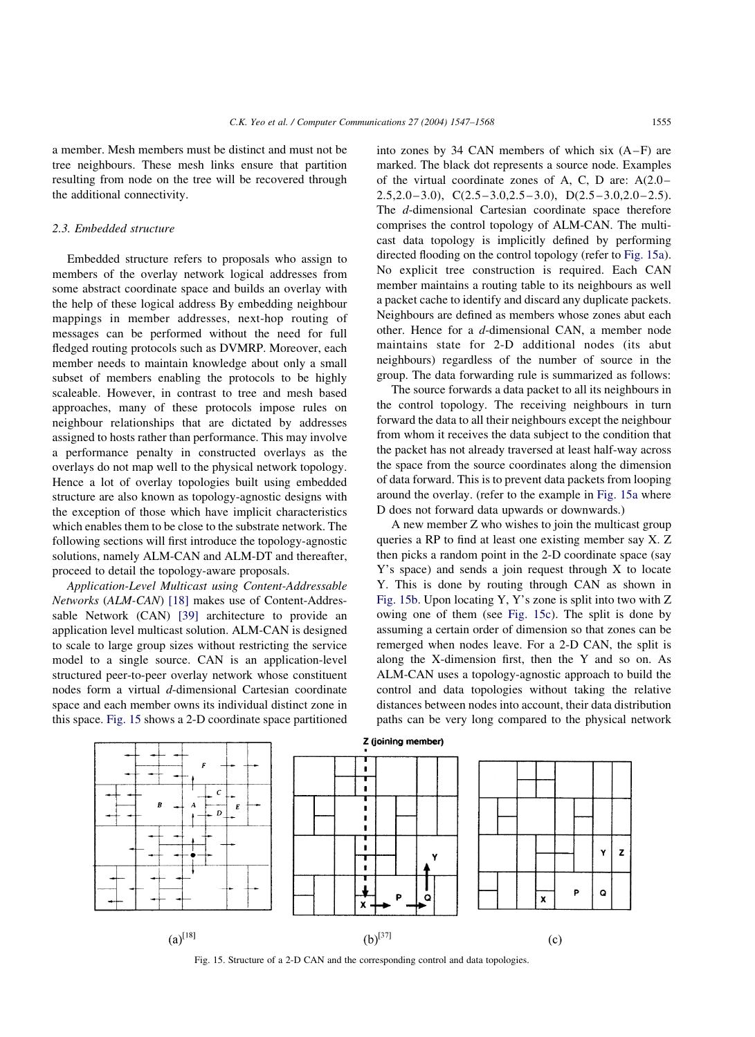a member. Mesh members must be distinct and must not be tree neighbours. These mesh links ensure that partition resulting from node on the tree will be recovered through the additional connectivity.

#### 2.3. Embedded structure

Embedded structure refers to proposals who assign to members of the overlay network logical addresses from some abstract coordinate space and builds an overlay with the help of these logical address By embedding neighbour mappings in member addresses, next-hop routing of messages can be performed without the need for full fledged routing protocols such as DVMRP. Moreover, each member needs to maintain knowledge about only a small subset of members enabling the protocols to be highly scaleable. However, in contrast to tree and mesh based approaches, many of these protocols impose rules on neighbour relationships that are dictated by addresses assigned to hosts rather than performance. This may involve a performance penalty in constructed overlays as the overlays do not map well to the physical network topology. Hence a lot of overlay topologies built using embedded structure are also known as topology-agnostic designs with the exception of those which have implicit characteristics which enables them to be close to the substrate network. The following sections will first introduce the topology-agnostic solutions, namely ALM-CAN and ALM-DT and thereafter, proceed to detail the topology-aware proposals.

Application-Level Multicast using Content-Addressable Networks (ALM-CAN) [\[18\]](#page-20-0) makes use of Content-Addressable Network (CAN) [\[39\]](#page-20-0) architecture to provide an application level multicast solution. ALM-CAN is designed to scale to large group sizes without restricting the service model to a single source. CAN is an application-level structured peer-to-peer overlay network whose constituent nodes form a virtual d-dimensional Cartesian coordinate space and each member owns its individual distinct zone in this space. Fig. 15 shows a 2-D coordinate space partitioned

into zones by 34 CAN members of which six (A–F) are marked. The black dot represents a source node. Examples of the virtual coordinate zones of A, C, D are: A(2.0– 2.5,2.0–3.0), C(2.5–3.0,2.5–3.0), D(2.5–3.0,2.0–2.5). The d-dimensional Cartesian coordinate space therefore comprises the control topology of ALM-CAN. The multicast data topology is implicitly defined by performing directed flooding on the control topology (refer to Fig. 15a). No explicit tree construction is required. Each CAN member maintains a routing table to its neighbours as well a packet cache to identify and discard any duplicate packets. Neighbours are defined as members whose zones abut each other. Hence for a d-dimensional CAN, a member node maintains state for 2-D additional nodes (its abut neighbours) regardless of the number of source in the group. The data forwarding rule is summarized as follows:

The source forwards a data packet to all its neighbours in the control topology. The receiving neighbours in turn forward the data to all their neighbours except the neighbour from whom it receives the data subject to the condition that the packet has not already traversed at least half-way across the space from the source coordinates along the dimension of data forward. This is to prevent data packets from looping around the overlay. (refer to the example in Fig. 15a where D does not forward data upwards or downwards.)

A new member Z who wishes to join the multicast group queries a RP to find at least one existing member say X. Z then picks a random point in the 2-D coordinate space (say Y's space) and sends a join request through X to locate Y. This is done by routing through CAN as shown in Fig. 15b. Upon locating Y, Y's zone is split into two with Z owing one of them (see Fig. 15c). The split is done by assuming a certain order of dimension so that zones can be remerged when nodes leave. For a 2-D CAN, the split is along the X-dimension first, then the Y and so on. As ALM-CAN uses a topology-agnostic approach to build the control and data topologies without taking the relative distances between nodes into account, their data distribution paths can be very long compared to the physical network



Fig. 15. Structure of a 2-D CAN and the corresponding control and data topologies.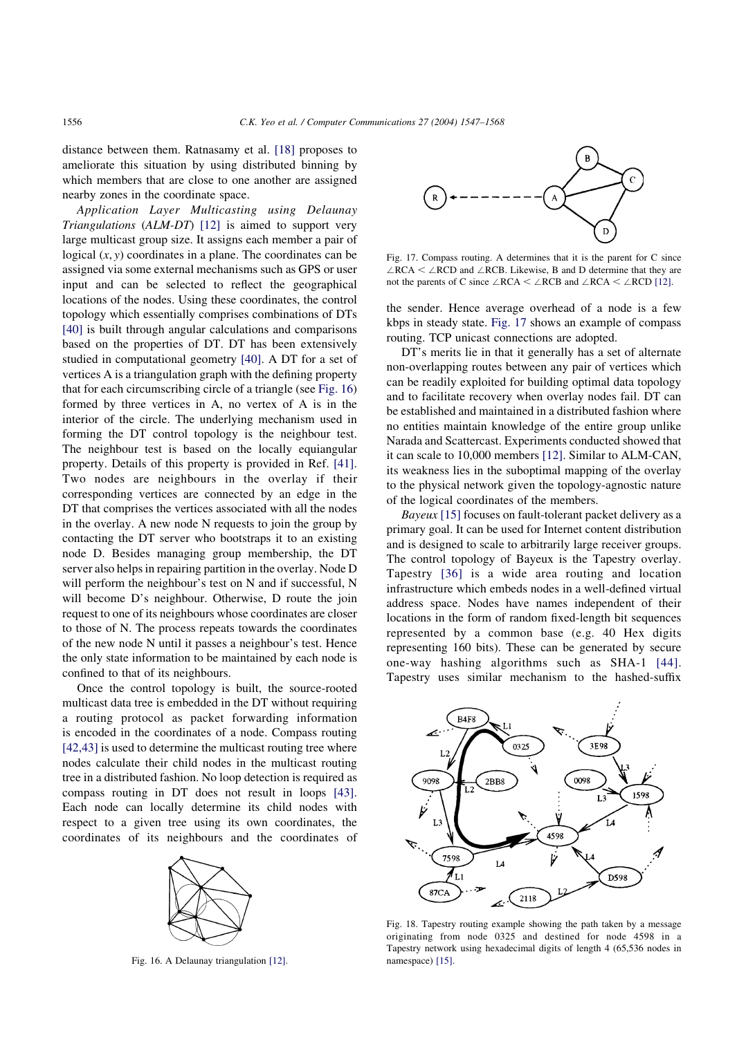<span id="page-9-0"></span>distance between them. Ratnasamy et al. [\[18\]](#page-20-0) proposes to ameliorate this situation by using distributed binning by which members that are close to one another are assigned nearby zones in the coordinate space.

Application Layer Multicasting using Delaunay Triangulations (ALM-DT) [\[12\]](#page-20-0) is aimed to support very large multicast group size. It assigns each member a pair of logical  $(x, y)$  coordinates in a plane. The coordinates can be assigned via some external mechanisms such as GPS or user input and can be selected to reflect the geographical locations of the nodes. Using these coordinates, the control topology which essentially comprises combinations of DTs [\[40\]](#page-20-0) is built through angular calculations and comparisons based on the properties of DT. DT has been extensively studied in computational geometry [\[40\]](#page-20-0). A DT for a set of vertices A is a triangulation graph with the defining property that for each circumscribing circle of a triangle (see Fig. 16) formed by three vertices in A, no vertex of A is in the interior of the circle. The underlying mechanism used in forming the DT control topology is the neighbour test. The neighbour test is based on the locally equiangular property. Details of this property is provided in Ref. [\[41\]](#page-20-0). Two nodes are neighbours in the overlay if their corresponding vertices are connected by an edge in the DT that comprises the vertices associated with all the nodes in the overlay. A new node N requests to join the group by contacting the DT server who bootstraps it to an existing node D. Besides managing group membership, the DT server also helps in repairing partition in the overlay. Node D will perform the neighbour's test on N and if successful, N will become D's neighbour. Otherwise, D route the join request to one of its neighbours whose coordinates are closer to those of N. The process repeats towards the coordinates of the new node N until it passes a neighbour's test. Hence the only state information to be maintained by each node is confined to that of its neighbours.

Once the control topology is built, the source-rooted multicast data tree is embedded in the DT without requiring a routing protocol as packet forwarding information is encoded in the coordinates of a node. Compass routing [\[42,43\]](#page-20-0) is used to determine the multicast routing tree where nodes calculate their child nodes in the multicast routing tree in a distributed fashion. No loop detection is required as compass routing in DT does not result in loops [\[43\]](#page-20-0). Each node can locally determine its child nodes with respect to a given tree using its own coordinates, the coordinates of its neighbours and the coordinates of



Fig. 16. A Delaunay triangulation [\[12\].](#page-20-0)



Fig. 17. Compass routing. A determines that it is the parent for C since  $\angle$ RCA <  $\angle$ RCD and  $\angle$ RCB. Likewise, B and D determine that they are not the parents of C since  $\angle$ RCA  $\angle$   $\angle$ RCB and  $\angle$ RCA  $\angle$   $\angle$ RCD [\[12\]](#page-20-0).

the sender. Hence average overhead of a node is a few kbps in steady state. Fig. 17 shows an example of compass routing. TCP unicast connections are adopted.

DT's merits lie in that it generally has a set of alternate non-overlapping routes between any pair of vertices which can be readily exploited for building optimal data topology and to facilitate recovery when overlay nodes fail. DT can be established and maintained in a distributed fashion where no entities maintain knowledge of the entire group unlike Narada and Scattercast. Experiments conducted showed that it can scale to 10,000 members [\[12\].](#page-20-0) Similar to ALM-CAN, its weakness lies in the suboptimal mapping of the overlay to the physical network given the topology-agnostic nature of the logical coordinates of the members.

Bayeux [\[15\]](#page-20-0) focuses on fault-tolerant packet delivery as a primary goal. It can be used for Internet content distribution and is designed to scale to arbitrarily large receiver groups. The control topology of Bayeux is the Tapestry overlay. Tapestry [\[36\]](#page-20-0) is a wide area routing and location infrastructure which embeds nodes in a well-defined virtual address space. Nodes have names independent of their locations in the form of random fixed-length bit sequences represented by a common base (e.g. 40 Hex digits representing 160 bits). These can be generated by secure one-way hashing algorithms such as SHA-1 [\[44\]](#page-20-0). Tapestry uses similar mechanism to the hashed-suffix



Fig. 18. Tapestry routing example showing the path taken by a message originating from node 0325 and destined for node 4598 in a Tapestry network using hexadecimal digits of length 4 (65,536 nodes in namespace) [\[15\].](#page-20-0)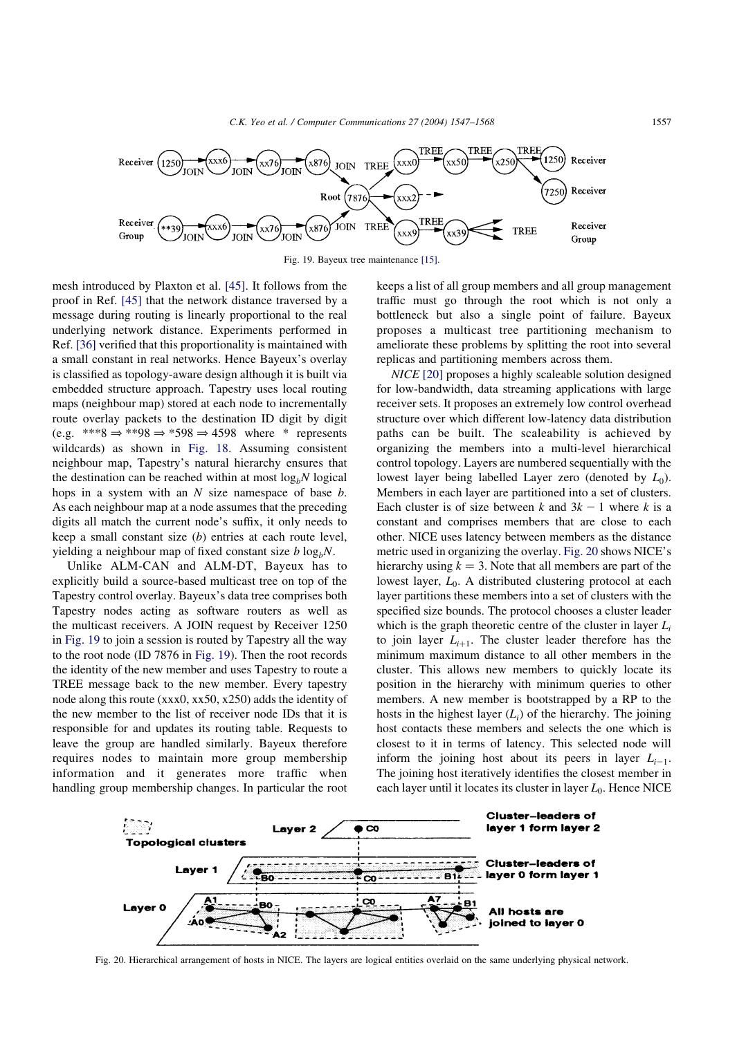

Fig. 19. Bayeux tree maintenance [\[15\].](#page-20-0)

mesh introduced by Plaxton et al. [\[45\]](#page-20-0). It follows from the proof in Ref. [\[45\]](#page-20-0) that the network distance traversed by a message during routing is linearly proportional to the real underlying network distance. Experiments performed in Ref. [\[36\]](#page-20-0) verified that this proportionality is maintained with a small constant in real networks. Hence Bayeux's overlay is classified as topology-aware design although it is built via embedded structure approach. Tapestry uses local routing maps (neighbour map) stored at each node to incrementally route overlay packets to the destination ID digit by digit (e.g. \*\*\*8  $\Rightarrow$  \*\*98  $\Rightarrow$  \*598  $\Rightarrow$  4598 where \* represents wildcards) as shown in [Fig. 18](#page-9-0). Assuming consistent neighbour map, Tapestry's natural hierarchy ensures that the destination can be reached within at most  $log_bN$  logical hops in a system with an  $N$  size namespace of base  $b$ . As each neighbour map at a node assumes that the preceding digits all match the current node's suffix, it only needs to keep a small constant size (b) entries at each route level, yielding a neighbour map of fixed constant size  $b \log_b N$ .

Unlike ALM-CAN and ALM-DT, Bayeux has to explicitly build a source-based multicast tree on top of the Tapestry control overlay. Bayeux's data tree comprises both Tapestry nodes acting as software routers as well as the multicast receivers. A JOIN request by Receiver 1250 in Fig. 19 to join a session is routed by Tapestry all the way to the root node (ID 7876 in Fig. 19). Then the root records the identity of the new member and uses Tapestry to route a TREE message back to the new member. Every tapestry node along this route (xxx0, xx50, x250) adds the identity of the new member to the list of receiver node IDs that it is responsible for and updates its routing table. Requests to leave the group are handled similarly. Bayeux therefore requires nodes to maintain more group membership information and it generates more traffic when handling group membership changes. In particular the root

keeps a list of all group members and all group management traffic must go through the root which is not only a bottleneck but also a single point of failure. Bayeux proposes a multicast tree partitioning mechanism to ameliorate these problems by splitting the root into several replicas and partitioning members across them.

NICE [\[20\]](#page-20-0) proposes a highly scaleable solution designed for low-bandwidth, data streaming applications with large receiver sets. It proposes an extremely low control overhead structure over which different low-latency data distribution paths can be built. The scaleability is achieved by organizing the members into a multi-level hierarchical control topology. Layers are numbered sequentially with the lowest layer being labelled Layer zero (denoted by  $L_0$ ). Members in each layer are partitioned into a set of clusters. Each cluster is of size between k and  $3k - 1$  where k is a constant and comprises members that are close to each other. NICE uses latency between members as the distance metric used in organizing the overlay. Fig. 20 shows NICE's hierarchy using  $k = 3$ . Note that all members are part of the lowest layer,  $L_0$ . A distributed clustering protocol at each layer partitions these members into a set of clusters with the specified size bounds. The protocol chooses a cluster leader which is the graph theoretic centre of the cluster in layer  $L_i$ to join layer  $L_{i+1}$ . The cluster leader therefore has the minimum maximum distance to all other members in the cluster. This allows new members to quickly locate its position in the hierarchy with minimum queries to other members. A new member is bootstrapped by a RP to the hosts in the highest layer  $(L<sub>i</sub>)$  of the hierarchy. The joining host contacts these members and selects the one which is closest to it in terms of latency. This selected node will inform the joining host about its peers in layer  $L_{i-1}$ . The joining host iteratively identifies the closest member in each layer until it locates its cluster in layer  $L_0$ . Hence NICE



Fig. 20. Hierarchical arrangement of hosts in NICE. The layers are logical entities overlaid on the same underlying physical network.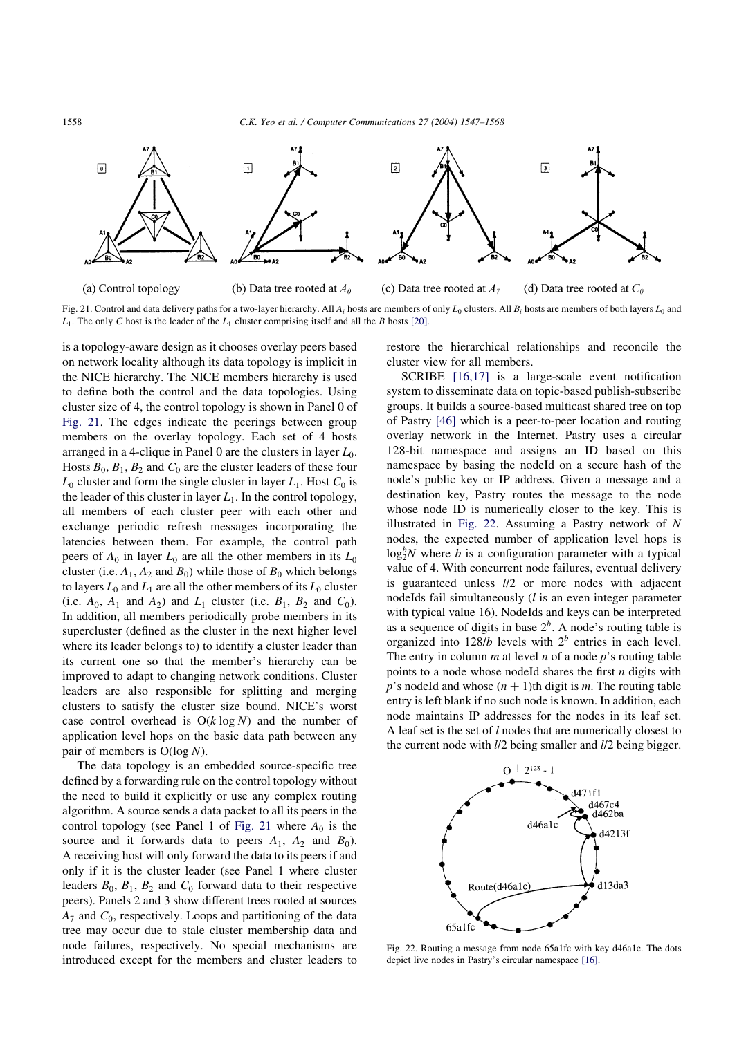

Fig. 21. Control and data delivery paths for a two-layer hierarchy. All  $A_i$  hosts are members of only  $L_0$  clusters. All  $B_i$  hosts are members of both layers  $L_0$  and  $L_1$ . The only C host is the leader of the  $L_1$  cluster comprising itself and all the B hosts [\[20\].](#page-20-0)

is a topology-aware design as it chooses overlay peers based on network locality although its data topology is implicit in the NICE hierarchy. The NICE members hierarchy is used to define both the control and the data topologies. Using cluster size of 4, the control topology is shown in Panel 0 of Fig. 21. The edges indicate the peerings between group members on the overlay topology. Each set of 4 hosts arranged in a 4-clique in Panel 0 are the clusters in layer  $L_0$ . Hosts  $B_0$ ,  $B_1$ ,  $B_2$  and  $C_0$  are the cluster leaders of these four  $L_0$  cluster and form the single cluster in layer  $L_1$ . Host  $C_0$  is the leader of this cluster in layer  $L_1$ . In the control topology, all members of each cluster peer with each other and exchange periodic refresh messages incorporating the latencies between them. For example, the control path peers of  $A_0$  in layer  $L_0$  are all the other members in its  $L_0$ cluster (i.e.  $A_1$ ,  $A_2$  and  $B_0$ ) while those of  $B_0$  which belongs to layers  $L_0$  and  $L_1$  are all the other members of its  $L_0$  cluster (i.e.  $A_0$ ,  $A_1$  and  $A_2$ ) and  $L_1$  cluster (i.e.  $B_1$ ,  $B_2$  and  $C_0$ ). In addition, all members periodically probe members in its supercluster (defined as the cluster in the next higher level where its leader belongs to) to identify a cluster leader than its current one so that the member's hierarchy can be improved to adapt to changing network conditions. Cluster leaders are also responsible for splitting and merging clusters to satisfy the cluster size bound. NICE's worst case control overhead is  $O(k \log N)$  and the number of application level hops on the basic data path between any pair of members is  $O(log N)$ .

The data topology is an embedded source-specific tree defined by a forwarding rule on the control topology without the need to build it explicitly or use any complex routing algorithm. A source sends a data packet to all its peers in the control topology (see Panel 1 of Fig. 21 where  $A_0$  is the source and it forwards data to peers  $A_1$ ,  $A_2$  and  $B_0$ ). A receiving host will only forward the data to its peers if and only if it is the cluster leader (see Panel 1 where cluster leaders  $B_0$ ,  $B_1$ ,  $B_2$  and  $C_0$  forward data to their respective peers). Panels 2 and 3 show different trees rooted at sources  $A_7$  and  $C_0$ , respectively. Loops and partitioning of the data tree may occur due to stale cluster membership data and node failures, respectively. No special mechanisms are introduced except for the members and cluster leaders to

restore the hierarchical relationships and reconcile the cluster view for all members.

SCRIBE [\[16,17\]](#page-20-0) is a large-scale event notification system to disseminate data on topic-based publish-subscribe groups. It builds a source-based multicast shared tree on top of Pastry [\[46\]](#page-20-0) which is a peer-to-peer location and routing overlay network in the Internet. Pastry uses a circular 128-bit namespace and assigns an ID based on this namespace by basing the nodeId on a secure hash of the node's public key or IP address. Given a message and a destination key, Pastry routes the message to the node whose node ID is numerically closer to the key. This is illustrated in Fig. 22. Assuming a Pastry network of N nodes, the expected number of application level hops is  $log<sub>2</sub><sup>b</sup>N$  where *b* is a configuration parameter with a typical value of 4. With concurrent node failures, eventual delivery is guaranteed unless  $1/2$  or more nodes with adjacent nodeIds fail simultaneously (l is an even integer parameter with typical value 16). NodeIds and keys can be interpreted as a sequence of digits in base  $2<sup>b</sup>$ . A node's routing table is organized into  $128/b$  levels with  $2<sup>b</sup>$  entries in each level. The entry in column  $m$  at level  $n$  of a node  $p$ 's routing table points to a node whose nodeId shares the first  $n$  digits with p's nodeId and whose  $(n + 1)$ th digit is m. The routing table entry is left blank if no such node is known. In addition, each node maintains IP addresses for the nodes in its leaf set. A leaf set is the set of l nodes that are numerically closest to the current node with  $\frac{1}{2}$  being smaller and  $\frac{1}{2}$  being bigger.



Fig. 22. Routing a message from node 65a1fc with key d46a1c. The dots depict live nodes in Pastry's circular namespace [\[16\].](#page-20-0)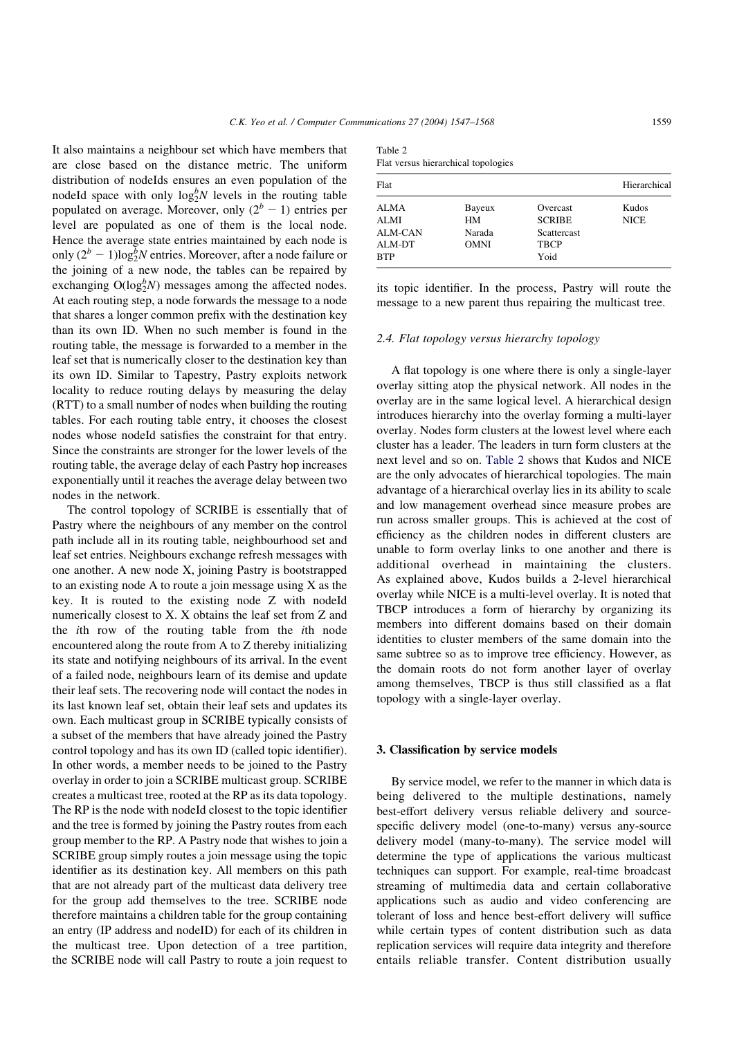Table 2

It also maintains a neighbour set which have members that are close based on the distance metric. The uniform distribution of nodeIds ensures an even population of the nodeId space with only  $log_2^b N$  levels in the routing table populated on average. Moreover, only  $(2<sup>b</sup> - 1)$  entries per level are populated as one of them is the local node. Hence the average state entries maintained by each node is only  $(2^b - 1) \log_2^b N$  entries. Moreover, after a node failure or the joining of a new node, the tables can be repaired by exchanging  $O(log_2^b N)$  messages among the affected nodes. At each routing step, a node forwards the message to a node that shares a longer common prefix with the destination key than its own ID. When no such member is found in the routing table, the message is forwarded to a member in the leaf set that is numerically closer to the destination key than its own ID. Similar to Tapestry, Pastry exploits network locality to reduce routing delays by measuring the delay (RTT) to a small number of nodes when building the routing tables. For each routing table entry, it chooses the closest nodes whose nodeId satisfies the constraint for that entry. Since the constraints are stronger for the lower levels of the routing table, the average delay of each Pastry hop increases exponentially until it reaches the average delay between two nodes in the network.

The control topology of SCRIBE is essentially that of Pastry where the neighbours of any member on the control path include all in its routing table, neighbourhood set and leaf set entries. Neighbours exchange refresh messages with one another. A new node X, joining Pastry is bootstrapped to an existing node A to route a join message using X as the key. It is routed to the existing node Z with nodeId numerically closest to X. X obtains the leaf set from Z and the ith row of the routing table from the ith node encountered along the route from A to Z thereby initializing its state and notifying neighbours of its arrival. In the event of a failed node, neighbours learn of its demise and update their leaf sets. The recovering node will contact the nodes in its last known leaf set, obtain their leaf sets and updates its own. Each multicast group in SCRIBE typically consists of a subset of the members that have already joined the Pastry control topology and has its own ID (called topic identifier). In other words, a member needs to be joined to the Pastry overlay in order to join a SCRIBE multicast group. SCRIBE creates a multicast tree, rooted at the RP as its data topology. The RP is the node with nodeId closest to the topic identifier and the tree is formed by joining the Pastry routes from each group member to the RP. A Pastry node that wishes to join a SCRIBE group simply routes a join message using the topic identifier as its destination key. All members on this path that are not already part of the multicast data delivery tree for the group add themselves to the tree. SCRIBE node therefore maintains a children table for the group containing an entry (IP address and nodeID) for each of its children in the multicast tree. Upon detection of a tree partition, the SCRIBE node will call Pastry to route a join request to

| $1$ ave $\epsilon$<br>Flat versus hierarchical topologies |  |
|-----------------------------------------------------------|--|
| Flat                                                      |  |
|                                                           |  |

| Flat       |             |               | Hierarchical |
|------------|-------------|---------------|--------------|
| ALMA       | Bayeux      | Overcast      | Kudos        |
| ALMI       | HМ          | <b>SCRIBE</b> | <b>NICE</b>  |
| ALM-CAN    | Narada      | Scattercast   |              |
| ALM-DT     | <b>OMNI</b> | <b>TBCP</b>   |              |
| <b>BTP</b> |             | Yoid          |              |

its topic identifier. In the process, Pastry will route the message to a new parent thus repairing the multicast tree.

#### 2.4. Flat topology versus hierarchy topology

A flat topology is one where there is only a single-layer overlay sitting atop the physical network. All nodes in the overlay are in the same logical level. A hierarchical design introduces hierarchy into the overlay forming a multi-layer overlay. Nodes form clusters at the lowest level where each cluster has a leader. The leaders in turn form clusters at the next level and so on. Table 2 shows that Kudos and NICE are the only advocates of hierarchical topologies. The main advantage of a hierarchical overlay lies in its ability to scale and low management overhead since measure probes are run across smaller groups. This is achieved at the cost of efficiency as the children nodes in different clusters are unable to form overlay links to one another and there is additional overhead in maintaining the clusters. As explained above, Kudos builds a 2-level hierarchical overlay while NICE is a multi-level overlay. It is noted that TBCP introduces a form of hierarchy by organizing its members into different domains based on their domain identities to cluster members of the same domain into the same subtree so as to improve tree efficiency. However, as the domain roots do not form another layer of overlay among themselves, TBCP is thus still classified as a flat topology with a single-layer overlay.

#### 3. Classification by service models

By service model, we refer to the manner in which data is being delivered to the multiple destinations, namely best-effort delivery versus reliable delivery and sourcespecific delivery model (one-to-many) versus any-source delivery model (many-to-many). The service model will determine the type of applications the various multicast techniques can support. For example, real-time broadcast streaming of multimedia data and certain collaborative applications such as audio and video conferencing are tolerant of loss and hence best-effort delivery will suffice while certain types of content distribution such as data replication services will require data integrity and therefore entails reliable transfer. Content distribution usually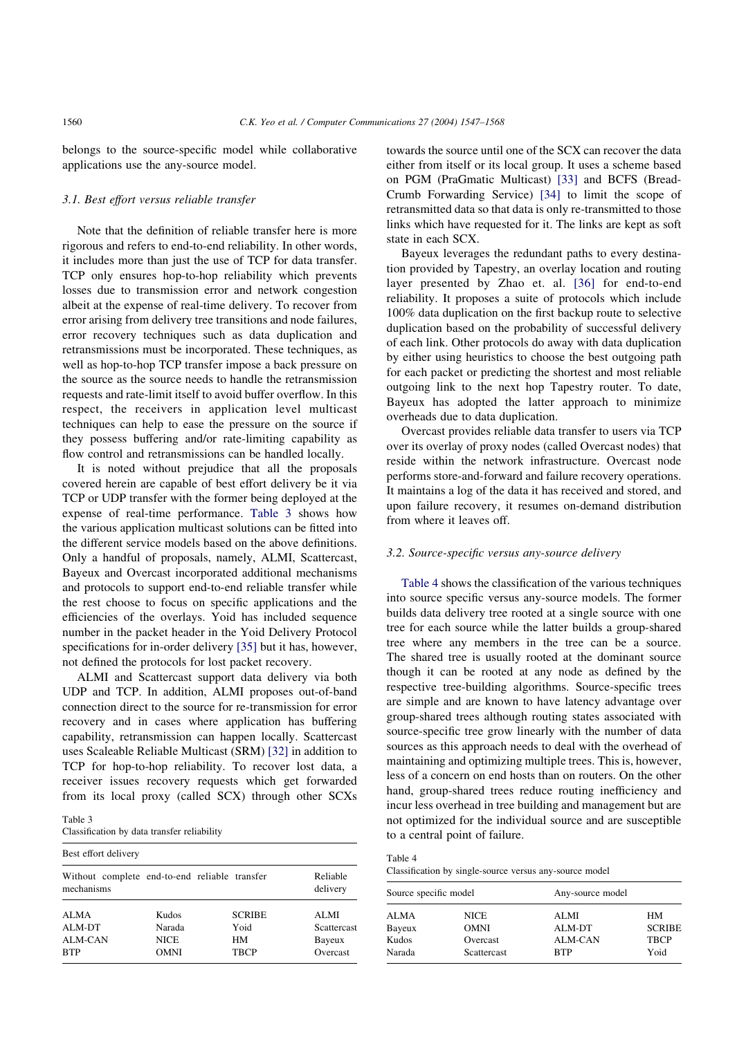belongs to the source-specific model while collaborative applications use the any-source model.

## 3.1. Best effort versus reliable transfer

Note that the definition of reliable transfer here is more rigorous and refers to end-to-end reliability. In other words, it includes more than just the use of TCP for data transfer. TCP only ensures hop-to-hop reliability which prevents losses due to transmission error and network congestion albeit at the expense of real-time delivery. To recover from error arising from delivery tree transitions and node failures, error recovery techniques such as data duplication and retransmissions must be incorporated. These techniques, as well as hop-to-hop TCP transfer impose a back pressure on the source as the source needs to handle the retransmission requests and rate-limit itself to avoid buffer overflow. In this respect, the receivers in application level multicast techniques can help to ease the pressure on the source if they possess buffering and/or rate-limiting capability as flow control and retransmissions can be handled locally.

It is noted without prejudice that all the proposals covered herein are capable of best effort delivery be it via TCP or UDP transfer with the former being deployed at the expense of real-time performance. Table 3 shows how the various application multicast solutions can be fitted into the different service models based on the above definitions. Only a handful of proposals, namely, ALMI, Scattercast, Bayeux and Overcast incorporated additional mechanisms and protocols to support end-to-end reliable transfer while the rest choose to focus on specific applications and the efficiencies of the overlays. Yoid has included sequence number in the packet header in the Yoid Delivery Protocol specifications for in-order delivery [\[35\]](#page-20-0) but it has, however, not defined the protocols for lost packet recovery.

ALMI and Scattercast support data delivery via both UDP and TCP. In addition, ALMI proposes out-of-band connection direct to the source for re-transmission for error recovery and in cases where application has buffering capability, retransmission can happen locally. Scattercast uses Scaleable Reliable Multicast (SRM) [\[32\]](#page-20-0) in addition to TCP for hop-to-hop reliability. To recover lost data, a receiver issues recovery requests which get forwarded from its local proxy (called SCX) through other SCXs

Table 3

Classification by data transfer reliability

| Best effort delivery                                        |              |               |                      |  |
|-------------------------------------------------------------|--------------|---------------|----------------------|--|
| Without complete end-to-end reliable transfer<br>mechanisms |              |               | Reliable<br>delivery |  |
| ALMA                                                        | <b>Kudos</b> | <b>SCRIBE</b> | ALMI                 |  |
| ALM-DT                                                      | Narada       | Yoid          | <b>Scattercast</b>   |  |
| ALM-CAN                                                     | <b>NICE</b>  | HМ            | Bayeux               |  |
| <b>BTP</b>                                                  | <b>OMNI</b>  | <b>TBCP</b>   | Overcast             |  |

towards the source until one of the SCX can recover the data either from itself or its local group. It uses a scheme based on PGM (PraGmatic Multicast) [\[33\]](#page-20-0) and BCFS (Bread-Crumb Forwarding Service) [\[34\]](#page-20-0) to limit the scope of retransmitted data so that data is only re-transmitted to those links which have requested for it. The links are kept as soft state in each SCX.

Bayeux leverages the redundant paths to every destination provided by Tapestry, an overlay location and routing layer presented by Zhao et. al. [\[36\]](#page-20-0) for end-to-end reliability. It proposes a suite of protocols which include 100% data duplication on the first backup route to selective duplication based on the probability of successful delivery of each link. Other protocols do away with data duplication by either using heuristics to choose the best outgoing path for each packet or predicting the shortest and most reliable outgoing link to the next hop Tapestry router. To date, Bayeux has adopted the latter approach to minimize overheads due to data duplication.

Overcast provides reliable data transfer to users via TCP over its overlay of proxy nodes (called Overcast nodes) that reside within the network infrastructure. Overcast node performs store-and-forward and failure recovery operations. It maintains a log of the data it has received and stored, and upon failure recovery, it resumes on-demand distribution from where it leaves off.

## 3.2. Source-specific versus any-source delivery

Table 4 shows the classification of the various techniques into source specific versus any-source models. The former builds data delivery tree rooted at a single source with one tree for each source while the latter builds a group-shared tree where any members in the tree can be a source. The shared tree is usually rooted at the dominant source though it can be rooted at any node as defined by the respective tree-building algorithms. Source-specific trees are simple and are known to have latency advantage over group-shared trees although routing states associated with source-specific tree grow linearly with the number of data sources as this approach needs to deal with the overhead of maintaining and optimizing multiple trees. This is, however, less of a concern on end hosts than on routers. On the other hand, group-shared trees reduce routing inefficiency and incur less overhead in tree building and management but are not optimized for the individual source and are susceptible to a central point of failure.

Table 4 Classification by single-source versus any-source model

|                 | Source specific model<br>Any-source model |                              |                     |
|-----------------|-------------------------------------------|------------------------------|---------------------|
| ALMA            | <b>NICE</b>                               | ALMI                         | HМ                  |
| Bayeux          | <b>OMNI</b>                               | ALM-DT                       | <b>SCRIBE</b>       |
| Kudos<br>Narada | Overcast<br>Scattercast                   | <b>ALM-CAN</b><br><b>BTP</b> | <b>TBCP</b><br>Yoid |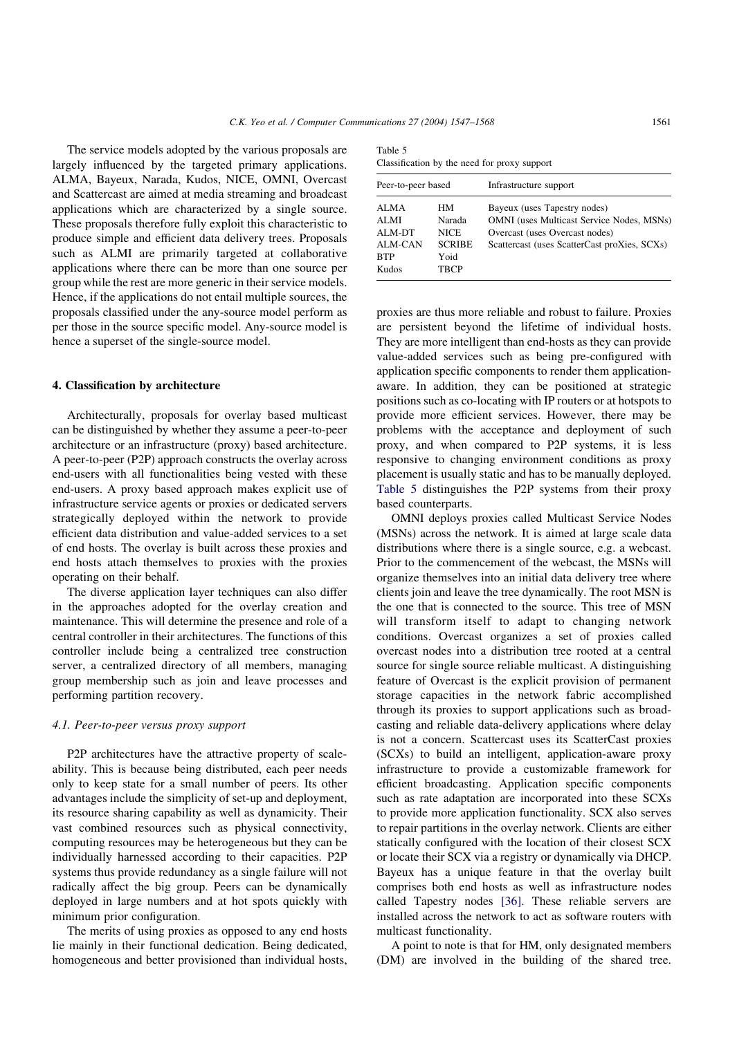The service models adopted by the various proposals are largely influenced by the targeted primary applications. ALMA, Bayeux, Narada, Kudos, NICE, OMNI, Overcast and Scattercast are aimed at media streaming and broadcast applications which are characterized by a single source. These proposals therefore fully exploit this characteristic to produce simple and efficient data delivery trees. Proposals such as ALMI are primarily targeted at collaborative applications where there can be more than one source per group while the rest are more generic in their service models. Hence, if the applications do not entail multiple sources, the proposals classified under the any-source model perform as per those in the source specific model. Any-source model is hence a superset of the single-source model.

#### 4. Classification by architecture

Architecturally, proposals for overlay based multicast can be distinguished by whether they assume a peer-to-peer architecture or an infrastructure (proxy) based architecture. A peer-to-peer (P2P) approach constructs the overlay across end-users with all functionalities being vested with these end-users. A proxy based approach makes explicit use of infrastructure service agents or proxies or dedicated servers strategically deployed within the network to provide efficient data distribution and value-added services to a set of end hosts. The overlay is built across these proxies and end hosts attach themselves to proxies with the proxies operating on their behalf.

The diverse application layer techniques can also differ in the approaches adopted for the overlay creation and maintenance. This will determine the presence and role of a central controller in their architectures. The functions of this controller include being a centralized tree construction server, a centralized directory of all members, managing group membership such as join and leave processes and performing partition recovery.

#### 4.1. Peer-to-peer versus proxy support

P2P architectures have the attractive property of scaleability. This is because being distributed, each peer needs only to keep state for a small number of peers. Its other advantages include the simplicity of set-up and deployment, its resource sharing capability as well as dynamicity. Their vast combined resources such as physical connectivity, computing resources may be heterogeneous but they can be individually harnessed according to their capacities. P2P systems thus provide redundancy as a single failure will not radically affect the big group. Peers can be dynamically deployed in large numbers and at hot spots quickly with minimum prior configuration.

The merits of using proxies as opposed to any end hosts lie mainly in their functional dedication. Being dedicated, homogeneous and better provisioned than individual hosts,

| Table 5                                      |
|----------------------------------------------|
| Classification by the need for proxy support |

| Peer-to-peer based                                                                                                              | Infrastructure support                                                                                                                                             |  |
|---------------------------------------------------------------------------------------------------------------------------------|--------------------------------------------------------------------------------------------------------------------------------------------------------------------|--|
| ALMA<br>HМ<br>Narada<br>ALMI<br>ALM-DT<br><b>NICE</b><br><b>SCRIBE</b><br><b>ALM-CAN</b><br>Yoid<br><b>BTP</b><br>Kudos<br>TBCP | Bayeux (uses Tapestry nodes)<br><b>OMNI</b> (uses Multicast Service Nodes, MSNs)<br>Overcast (uses Overcast nodes)<br>Scattercast (uses ScatterCast proXies, SCXs) |  |

proxies are thus more reliable and robust to failure. Proxies are persistent beyond the lifetime of individual hosts. They are more intelligent than end-hosts as they can provide value-added services such as being pre-configured with application specific components to render them applicationaware. In addition, they can be positioned at strategic positions such as co-locating with IP routers or at hotspots to provide more efficient services. However, there may be problems with the acceptance and deployment of such proxy, and when compared to P2P systems, it is less responsive to changing environment conditions as proxy placement is usually static and has to be manually deployed. Table 5 distinguishes the P2P systems from their proxy based counterparts.

OMNI deploys proxies called Multicast Service Nodes (MSNs) across the network. It is aimed at large scale data distributions where there is a single source, e.g. a webcast. Prior to the commencement of the webcast, the MSNs will organize themselves into an initial data delivery tree where clients join and leave the tree dynamically. The root MSN is the one that is connected to the source. This tree of MSN will transform itself to adapt to changing network conditions. Overcast organizes a set of proxies called overcast nodes into a distribution tree rooted at a central source for single source reliable multicast. A distinguishing feature of Overcast is the explicit provision of permanent storage capacities in the network fabric accomplished through its proxies to support applications such as broadcasting and reliable data-delivery applications where delay is not a concern. Scattercast uses its ScatterCast proxies (SCXs) to build an intelligent, application-aware proxy infrastructure to provide a customizable framework for efficient broadcasting. Application specific components such as rate adaptation are incorporated into these SCXs to provide more application functionality. SCX also serves to repair partitions in the overlay network. Clients are either statically configured with the location of their closest SCX or locate their SCX via a registry or dynamically via DHCP. Bayeux has a unique feature in that the overlay built comprises both end hosts as well as infrastructure nodes called Tapestry nodes [\[36\].](#page-20-0) These reliable servers are installed across the network to act as software routers with multicast functionality.

A point to note is that for HM, only designated members (DM) are involved in the building of the shared tree.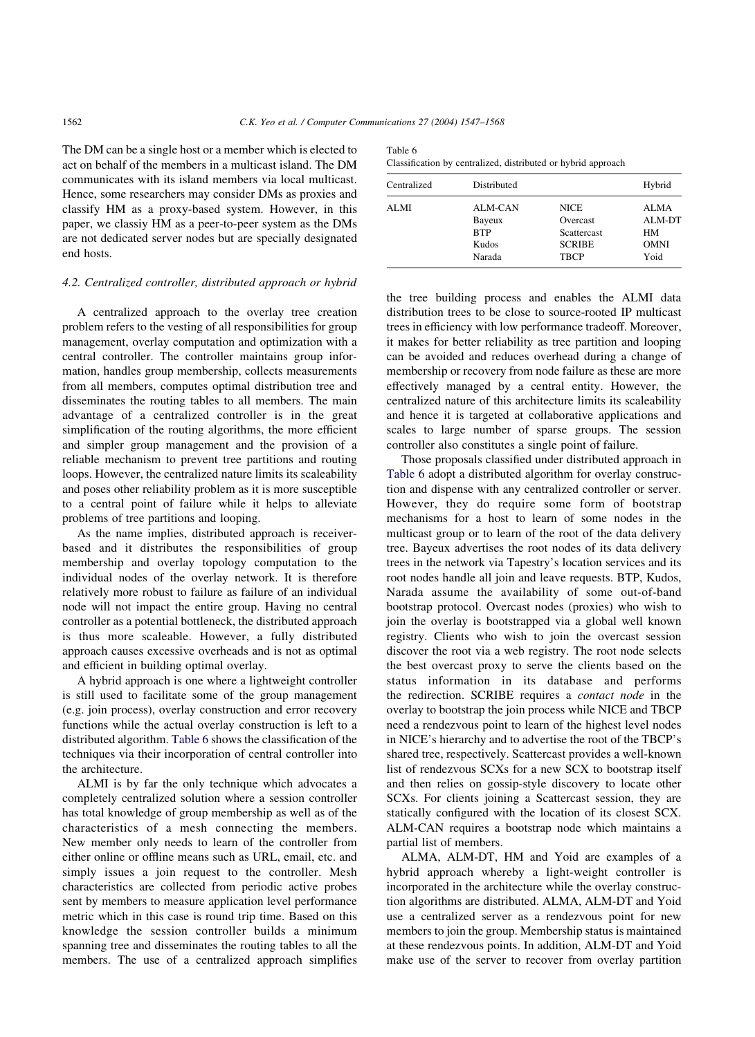The DM can be a single host or a member which is elected to act on behalf of the members in a multicast island. The DM communicates with its island members via local multicast. Hence, some researchers may consider DMs as proxies and classify HM as a proxy-based system. However, in this paper, we classiy HM as a peer-to-peer system as the DMs are not dedicated server nodes but are specially designated end hosts.

#### 4.2. Centralized controller, distributed approach or hybrid

A centralized approach to the overlay tree creation problem refers to the vesting of all responsibilities for group management, overlay computation and optimization with a central controller. The controller maintains group information, handles group membership, collects measurements from all members, computes optimal distribution tree and disseminates the routing tables to all members. The main advantage of a centralized controller is in the great simplification of the routing algorithms, the more efficient and simpler group management and the provision of a reliable mechanism to prevent tree partitions and routing loops. However, the centralized nature limits its scaleability and poses other reliability problem as it is more susceptible to a central point of failure while it helps to alleviate problems of tree partitions and looping.

As the name implies, distributed approach is receiverbased and it distributes the responsibilities of group membership and overlay topology computation to the individual nodes of the overlay network. It is therefore relatively more robust to failure as failure of an individual node will not impact the entire group. Having no central controller as a potential bottleneck, the distributed approach is thus more scaleable. However, a fully distributed approach causes excessive overheads and is not as optimal and efficient in building optimal overlay.

A hybrid approach is one where a lightweight controller is still used to facilitate some of the group management (e.g. join process), overlay construction and error recovery functions while the actual overlay construction is left to a distributed algorithm. Table 6 shows the classification of the techniques via their incorporation of central controller into the architecture.

ALMI is by far the only technique which advocates a completely centralized solution where a session controller has total knowledge of group membership as well as of the characteristics of a mesh connecting the members. New member only needs to learn of the controller from either online or offline means such as URL, email, etc. and simply issues a join request to the controller. Mesh characteristics are collected from periodic active probes sent by members to measure application level performance metric which in this case is round trip time. Based on this knowledge the session controller builds a minimum spanning tree and disseminates the routing tables to all the members. The use of a centralized approach simplifies

| Table 6 |                                                               |  |  |
|---------|---------------------------------------------------------------|--|--|
|         | Classification by centralized, distributed or hybrid approach |  |  |

| Centralized | Distributed                                               |                                                                        | Hybrid                                      |
|-------------|-----------------------------------------------------------|------------------------------------------------------------------------|---------------------------------------------|
| ALMI        | <b>ALM-CAN</b><br>Bayeux<br><b>BTP</b><br>Kudos<br>Narada | <b>NICE</b><br>Overcast<br>Scattercast<br><b>SCRIBE</b><br><b>TBCP</b> | ALMA<br>ALM-DT<br>HМ<br><b>OMNI</b><br>Yoid |

the tree building process and enables the ALMI data distribution trees to be close to source-rooted IP multicast trees in efficiency with low performance tradeoff. Moreover, it makes for better reliability as tree partition and looping can be avoided and reduces overhead during a change of membership or recovery from node failure as these are more effectively managed by a central entity. However, the centralized nature of this architecture limits its scaleability and hence it is targeted at collaborative applications and scales to large number of sparse groups. The session controller also constitutes a single point of failure.

Those proposals classified under distributed approach in Table 6 adopt a distributed algorithm for overlay construction and dispense with any centralized controller or server. However, they do require some form of bootstrap mechanisms for a host to learn of some nodes in the multicast group or to learn of the root of the data delivery tree. Bayeux advertises the root nodes of its data delivery trees in the network via Tapestry's location services and its root nodes handle all join and leave requests. BTP, Kudos, Narada assume the availability of some out-of-band bootstrap protocol. Overcast nodes (proxies) who wish to join the overlay is bootstrapped via a global well known registry. Clients who wish to join the overcast session discover the root via a web registry. The root node selects the best overcast proxy to serve the clients based on the status information in its database and performs the redirection. SCRIBE requires a contact node in the overlay to bootstrap the join process while NICE and TBCP need a rendezvous point to learn of the highest level nodes in NICE's hierarchy and to advertise the root of the TBCP's shared tree, respectively. Scattercast provides a well-known list of rendezvous SCXs for a new SCX to bootstrap itself and then relies on gossip-style discovery to locate other SCXs. For clients joining a Scattercast session, they are statically configured with the location of its closest SCX. ALM-CAN requires a bootstrap node which maintains a partial list of members.

ALMA, ALM-DT, HM and Yoid are examples of a hybrid approach whereby a light-weight controller is incorporated in the architecture while the overlay construction algorithms are distributed. ALMA, ALM-DT and Yoid use a centralized server as a rendezvous point for new members to join the group. Membership status is maintained at these rendezvous points. In addition, ALM-DT and Yoid make use of the server to recover from overlay partition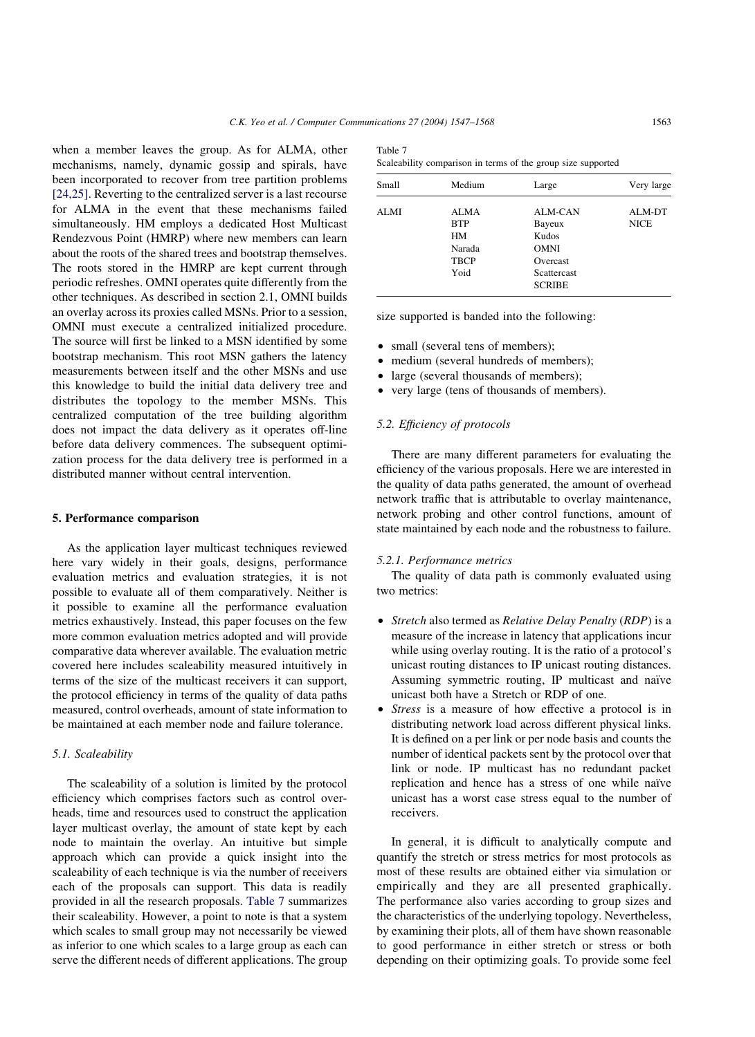when a member leaves the group. As for ALMA, other mechanisms, namely, dynamic gossip and spirals, have been incorporated to recover from tree partition problems [\[24,25\].](#page-20-0) Reverting to the centralized server is a last recourse for ALMA in the event that these mechanisms failed simultaneously. HM employs a dedicated Host Multicast Rendezvous Point (HMRP) where new members can learn about the roots of the shared trees and bootstrap themselves. The roots stored in the HMRP are kept current through periodic refreshes. OMNI operates quite differently from the other techniques. As described in section 2.1, OMNI builds an overlay across its proxies called MSNs. Prior to a session, OMNI must execute a centralized initialized procedure. The source will first be linked to a MSN identified by some bootstrap mechanism. This root MSN gathers the latency measurements between itself and the other MSNs and use this knowledge to build the initial data delivery tree and distributes the topology to the member MSNs. This centralized computation of the tree building algorithm does not impact the data delivery as it operates off-line before data delivery commences. The subsequent optimization process for the data delivery tree is performed in a distributed manner without central intervention.

## 5. Performance comparison

As the application layer multicast techniques reviewed here vary widely in their goals, designs, performance evaluation metrics and evaluation strategies, it is not possible to evaluate all of them comparatively. Neither is it possible to examine all the performance evaluation metrics exhaustively. Instead, this paper focuses on the few more common evaluation metrics adopted and will provide comparative data wherever available. The evaluation metric covered here includes scaleability measured intuitively in terms of the size of the multicast receivers it can support, the protocol efficiency in terms of the quality of data paths measured, control overheads, amount of state information to be maintained at each member node and failure tolerance.

## 5.1. Scaleability

The scaleability of a solution is limited by the protocol efficiency which comprises factors such as control overheads, time and resources used to construct the application layer multicast overlay, the amount of state kept by each node to maintain the overlay. An intuitive but simple approach which can provide a quick insight into the scaleability of each technique is via the number of receivers each of the proposals can support. This data is readily provided in all the research proposals. Table 7 summarizes their scaleability. However, a point to note is that a system which scales to small group may not necessarily be viewed as inferior to one which scales to a large group as each can serve the different needs of different applications. The group

| Table 7 |        | Scaleability comparison in terms of the group size supported |      |
|---------|--------|--------------------------------------------------------------|------|
| Small   | Medium | I arge                                                       | Verv |

| Small | Medium                                                    | Large                                                                                        | Very large            |
|-------|-----------------------------------------------------------|----------------------------------------------------------------------------------------------|-----------------------|
| ALMI  | ALMA<br><b>BTP</b><br>HM<br>Narada<br><b>TBCP</b><br>Yoid | <b>ALM-CAN</b><br>Bayeux<br>Kudos<br><b>OMNI</b><br>Overcast<br>Scattercast<br><b>SCRIBE</b> | ALM-DT<br><b>NICE</b> |

size supported is banded into the following:

- small (several tens of members);
- † medium (several hundreds of members);
- large (several thousands of members);
- † very large (tens of thousands of members).

#### 5.2. Efficiency of protocols

There are many different parameters for evaluating the efficiency of the various proposals. Here we are interested in the quality of data paths generated, the amount of overhead network traffic that is attributable to overlay maintenance, network probing and other control functions, amount of state maintained by each node and the robustness to failure.

#### 5.2.1. Performance metrics

The quality of data path is commonly evaluated using two metrics:

- Stretch also termed as Relative Delay Penalty (RDP) is a measure of the increase in latency that applications incur while using overlay routing. It is the ratio of a protocol's unicast routing distances to IP unicast routing distances. Assuming symmetric routing, IP multicast and naïve unicast both have a Stretch or RDP of one.
- Stress is a measure of how effective a protocol is in distributing network load across different physical links. It is defined on a per link or per node basis and counts the number of identical packets sent by the protocol over that link or node. IP multicast has no redundant packet replication and hence has a stress of one while naïve unicast has a worst case stress equal to the number of receivers.

In general, it is difficult to analytically compute and quantify the stretch or stress metrics for most protocols as most of these results are obtained either via simulation or empirically and they are all presented graphically. The performance also varies according to group sizes and the characteristics of the underlying topology. Nevertheless, by examining their plots, all of them have shown reasonable to good performance in either stretch or stress or both depending on their optimizing goals. To provide some feel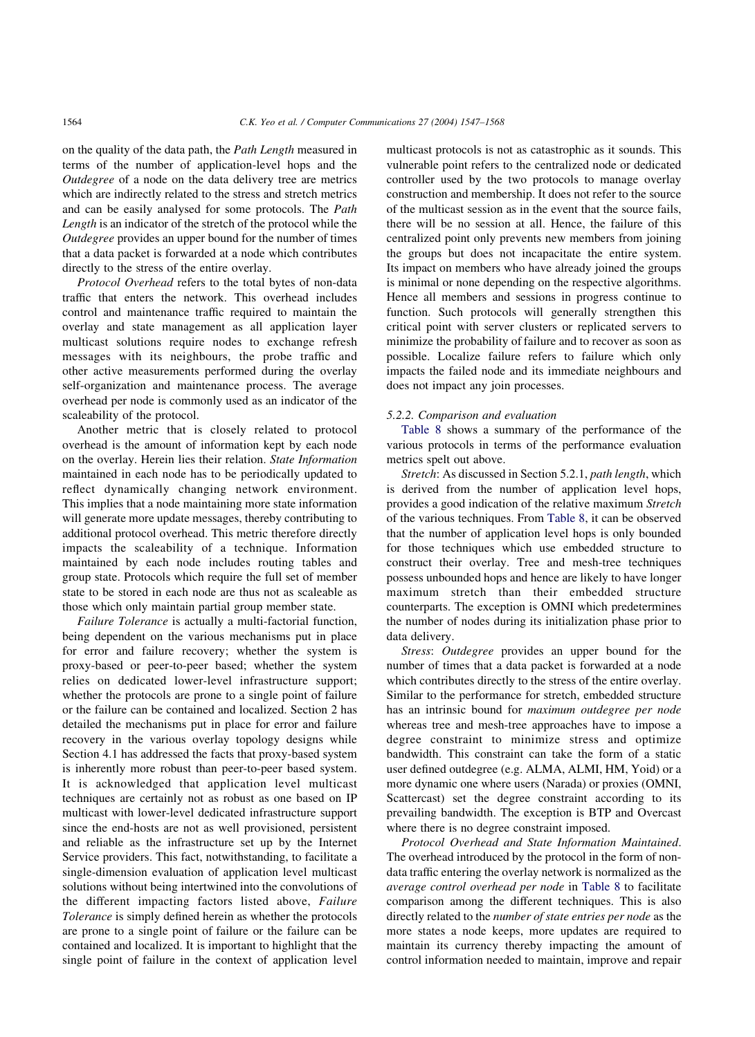on the quality of the data path, the Path Length measured in terms of the number of application-level hops and the Outdegree of a node on the data delivery tree are metrics which are indirectly related to the stress and stretch metrics and can be easily analysed for some protocols. The Path Length is an indicator of the stretch of the protocol while the Outdegree provides an upper bound for the number of times that a data packet is forwarded at a node which contributes directly to the stress of the entire overlay.

Protocol Overhead refers to the total bytes of non-data traffic that enters the network. This overhead includes control and maintenance traffic required to maintain the overlay and state management as all application layer multicast solutions require nodes to exchange refresh messages with its neighbours, the probe traffic and other active measurements performed during the overlay self-organization and maintenance process. The average overhead per node is commonly used as an indicator of the scaleability of the protocol.

Another metric that is closely related to protocol overhead is the amount of information kept by each node on the overlay. Herein lies their relation. State Information maintained in each node has to be periodically updated to reflect dynamically changing network environment. This implies that a node maintaining more state information will generate more update messages, thereby contributing to additional protocol overhead. This metric therefore directly impacts the scaleability of a technique. Information maintained by each node includes routing tables and group state. Protocols which require the full set of member state to be stored in each node are thus not as scaleable as those which only maintain partial group member state.

Failure Tolerance is actually a multi-factorial function, being dependent on the various mechanisms put in place for error and failure recovery; whether the system is proxy-based or peer-to-peer based; whether the system relies on dedicated lower-level infrastructure support; whether the protocols are prone to a single point of failure or the failure can be contained and localized. Section 2 has detailed the mechanisms put in place for error and failure recovery in the various overlay topology designs while Section 4.1 has addressed the facts that proxy-based system is inherently more robust than peer-to-peer based system. It is acknowledged that application level multicast techniques are certainly not as robust as one based on IP multicast with lower-level dedicated infrastructure support since the end-hosts are not as well provisioned, persistent and reliable as the infrastructure set up by the Internet Service providers. This fact, notwithstanding, to facilitate a single-dimension evaluation of application level multicast solutions without being intertwined into the convolutions of the different impacting factors listed above, Failure Tolerance is simply defined herein as whether the protocols are prone to a single point of failure or the failure can be contained and localized. It is important to highlight that the single point of failure in the context of application level

multicast protocols is not as catastrophic as it sounds. This vulnerable point refers to the centralized node or dedicated controller used by the two protocols to manage overlay construction and membership. It does not refer to the source of the multicast session as in the event that the source fails, there will be no session at all. Hence, the failure of this centralized point only prevents new members from joining the groups but does not incapacitate the entire system. Its impact on members who have already joined the groups is minimal or none depending on the respective algorithms. Hence all members and sessions in progress continue to function. Such protocols will generally strengthen this critical point with server clusters or replicated servers to minimize the probability of failure and to recover as soon as possible. Localize failure refers to failure which only impacts the failed node and its immediate neighbours and does not impact any join processes.

#### 5.2.2. Comparison and evaluation

[Table 8](#page-18-0) shows a summary of the performance of the various protocols in terms of the performance evaluation metrics spelt out above.

Stretch: As discussed in Section 5.2.1, path length, which is derived from the number of application level hops, provides a good indication of the relative maximum Stretch of the various techniques. From [Table 8,](#page-18-0) it can be observed that the number of application level hops is only bounded for those techniques which use embedded structure to construct their overlay. Tree and mesh-tree techniques possess unbounded hops and hence are likely to have longer maximum stretch than their embedded structure counterparts. The exception is OMNI which predetermines the number of nodes during its initialization phase prior to data delivery.

Stress: Outdegree provides an upper bound for the number of times that a data packet is forwarded at a node which contributes directly to the stress of the entire overlay. Similar to the performance for stretch, embedded structure has an intrinsic bound for maximum outdegree per node whereas tree and mesh-tree approaches have to impose a degree constraint to minimize stress and optimize bandwidth. This constraint can take the form of a static user defined outdegree (e.g. ALMA, ALMI, HM, Yoid) or a more dynamic one where users (Narada) or proxies (OMNI, Scattercast) set the degree constraint according to its prevailing bandwidth. The exception is BTP and Overcast where there is no degree constraint imposed.

Protocol Overhead and State Information Maintained. The overhead introduced by the protocol in the form of nondata traffic entering the overlay network is normalized as the average control overhead per node in [Table 8](#page-18-0) to facilitate comparison among the different techniques. This is also directly related to the number of state entries per node as the more states a node keeps, more updates are required to maintain its currency thereby impacting the amount of control information needed to maintain, improve and repair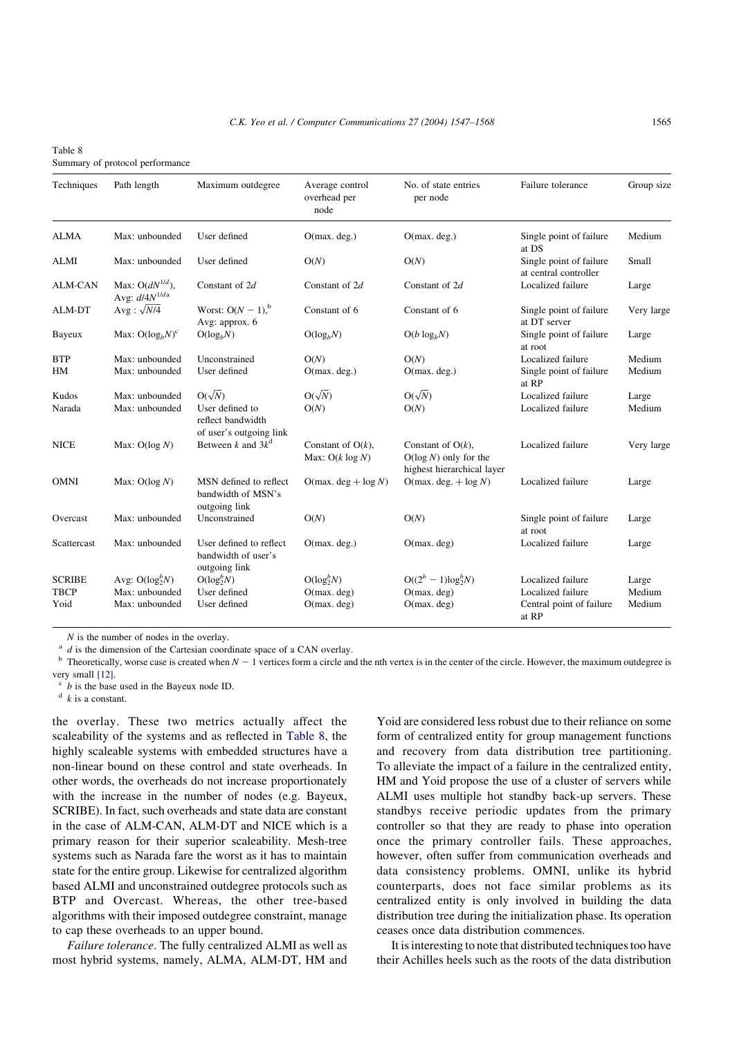<span id="page-18-0"></span>

| Table 8                         |
|---------------------------------|
| Summary of protocol performance |

| Techniques    | Path length                                 | Maximum outdegree                                               | Average control<br>overhead per<br>node    | No. of state entries<br>per node                                               | Failure tolerance                                | Group size |  |
|---------------|---------------------------------------------|-----------------------------------------------------------------|--------------------------------------------|--------------------------------------------------------------------------------|--------------------------------------------------|------------|--|
| <b>ALMA</b>   | Max: unbounded                              | User defined                                                    | O(max. deg.)                               | O(max. deg.)                                                                   | Single point of failure<br>at DS                 | Medium     |  |
| <b>ALMI</b>   | Max: unbounded                              | User defined                                                    | O(N)                                       | O(N)                                                                           | Single point of failure<br>at central controller | Small      |  |
| ALM-CAN       | Max: $O(dN^{1/d})$ ,<br>Avg: $d/4N^{1/d}$ a | Constant of 2d                                                  | Constant of 2d                             | Constant of 2d                                                                 | Localized failure                                | Large      |  |
| ALM-DT        | Avg: $\sqrt{N/4}$                           | Worst: $O(N-1)$ , <sup>b</sup><br>Avg: approx. 6                | Constant of 6                              | Constant of 6                                                                  | Single point of failure<br>at DT server          | Very large |  |
| Bayeux        | Max: $O(log_h N)^c$                         | $O(log_b N)$                                                    | $O(log_h N)$                               | $O(b \log_b N)$                                                                | Single point of failure<br>at root               | Large      |  |
| <b>BTP</b>    | Max: unbounded                              | Unconstrained                                                   | O(N)                                       | O(N)                                                                           | Localized failure                                | Medium     |  |
| HM            | Max: unbounded                              | User defined                                                    | O(max. deg.)                               | O(max. deg.)                                                                   | Single point of failure<br>at RP                 | Medium     |  |
| Kudos         | Max: unbounded                              | $O(\sqrt{N})$                                                   | $O(\sqrt{N})$                              | $O(\sqrt{N})$                                                                  | Localized failure                                | Large      |  |
| Narada        | Max: unbounded                              | User defined to<br>reflect bandwidth<br>of user's outgoing link | O(N)                                       | O(N)                                                                           | Localized failure                                | Medium     |  |
| <b>NICE</b>   | Max: $O(log N)$                             | Between k and $3k^d$                                            | Constant of $O(k)$ ,<br>Max: $O(k \log N)$ | Constant of $O(k)$ ,<br>$O(\log N)$ only for the<br>highest hierarchical layer | Localized failure                                | Very large |  |
| <b>OMNI</b>   | Max: $O(log N)$                             | MSN defined to reflect<br>bandwidth of MSN's<br>outgoing link   | O(max. deg + $\log N$ )                    | O(max. deg. $+ \log N$ )                                                       | Localized failure                                | Large      |  |
| Overcast      | Max: unbounded                              | Unconstrained                                                   | O(N)                                       | O(N)                                                                           | Single point of failure<br>at root               | Large      |  |
| Scattercast   | Max: unbounded                              | User defined to reflect<br>bandwidth of user's<br>outgoing link | O(max. deg.)                               | O(max. deg)                                                                    | Localized failure                                | Large      |  |
| <b>SCRIBE</b> | Avg: $O(log_2^b N)$                         | $O(log_2^b N)$                                                  | $O(log_2^b N)$                             | $O((2^{b} - 1) \log_{2}^{b} N)$                                                | Localized failure                                | Large      |  |
| <b>TBCP</b>   | Max: unbounded                              | User defined                                                    | O(max. deg)                                | O(max. deg)                                                                    | Localized failure                                | Medium     |  |
| Yoid          | Max: unbounded                              | User defined                                                    | O(max. deg)                                | O(max. deg)                                                                    | Central point of failure<br>at RP                | Medium     |  |

*N* is the number of nodes in the overlay.<br><sup>a</sup> *d* is the dimension of the Cartesian coordinate space of a CAN overlay.<br><sup>b</sup> Theoretically, worse case is created when *N* – 1 vertices form a circle and the nth vertex is in

very small [\[12\]](#page-20-0).<br>
c b is the base used in the Bayeux node ID.<br>  $\frac{d}{k}$  is a constant.

the overlay. These two metrics actually affect the scaleability of the systems and as reflected in Table 8, the highly scaleable systems with embedded structures have a non-linear bound on these control and state overheads. In other words, the overheads do not increase proportionately with the increase in the number of nodes (e.g. Bayeux, SCRIBE). In fact, such overheads and state data are constant in the case of ALM-CAN, ALM-DT and NICE which is a primary reason for their superior scaleability. Mesh-tree systems such as Narada fare the worst as it has to maintain state for the entire group. Likewise for centralized algorithm based ALMI and unconstrained outdegree protocols such as BTP and Overcast. Whereas, the other tree-based algorithms with their imposed outdegree constraint, manage to cap these overheads to an upper bound.

Failure tolerance. The fully centralized ALMI as well as most hybrid systems, namely, ALMA, ALM-DT, HM and

Yoid are considered less robust due to their reliance on some form of centralized entity for group management functions and recovery from data distribution tree partitioning. To alleviate the impact of a failure in the centralized entity, HM and Yoid propose the use of a cluster of servers while ALMI uses multiple hot standby back-up servers. These standbys receive periodic updates from the primary controller so that they are ready to phase into operation once the primary controller fails. These approaches, however, often suffer from communication overheads and data consistency problems. OMNI, unlike its hybrid counterparts, does not face similar problems as its centralized entity is only involved in building the data distribution tree during the initialization phase. Its operation ceases once data distribution commences.

It is interesting to note that distributed techniques too have their Achilles heels such as the roots of the data distribution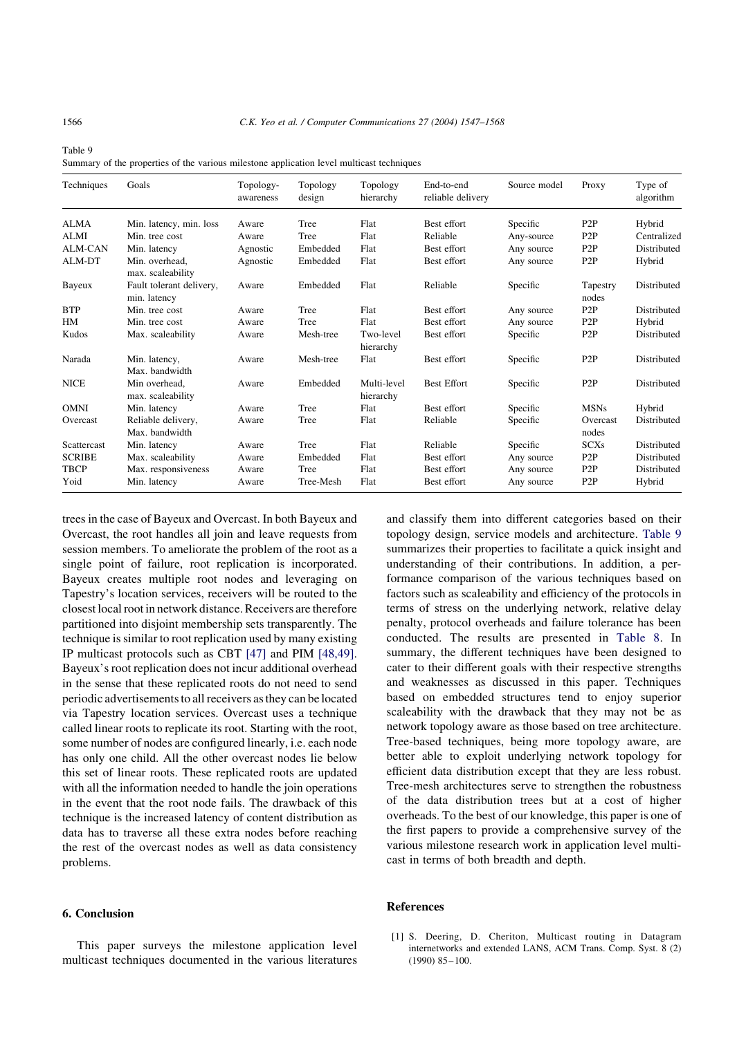<span id="page-19-0"></span>

| Table 9                                                                                   |  |
|-------------------------------------------------------------------------------------------|--|
| Summary of the properties of the various milestone application level multicast techniques |  |

| Techniques     | Goals                                    | Topology-<br>awareness | Topology<br>design | Topology<br>hierarchy    | End-to-end<br>reliable delivery | Source model | Proxy             | Type of<br>algorithm |
|----------------|------------------------------------------|------------------------|--------------------|--------------------------|---------------------------------|--------------|-------------------|----------------------|
| <b>ALMA</b>    | Min. latency, min. loss                  | Aware                  | Tree               | Flat                     | Best effort                     | Specific     | P2P               | Hybrid               |
| <b>ALMI</b>    | Min. tree cost                           | Aware                  | Tree               | Flat                     | Reliable                        | Any-source   | P2P               | Centralized          |
| <b>ALM-CAN</b> | Min. latency                             | Agnostic               | Embedded           | Flat                     | Best effort                     | Any source   | P <sub>2</sub> P  | Distributed          |
| ALM-DT         | Min. overhead.<br>max. scaleability      | Agnostic               | Embedded           | Flat                     | Best effort                     | Any source   | P <sub>2</sub> P  | Hybrid               |
| Bayeux         | Fault tolerant delivery,<br>min. latency | Aware                  | Embedded           | Flat                     | Reliable                        | Specific     | Tapestry<br>nodes | Distributed          |
| <b>BTP</b>     | Min. tree cost                           | Aware                  | Tree               | Flat                     | Best effort                     | Any source   | P <sub>2</sub> P  | Distributed          |
| HM             | Min. tree cost                           | Aware                  | Tree               | Flat                     | Best effort                     | Any source   | P <sub>2</sub> P  | Hybrid               |
| Kudos          | Max. scaleability                        | Aware                  | Mesh-tree          | Two-level<br>hierarchy   | Best effort                     | Specific     | P <sub>2</sub> P  | Distributed          |
| Narada         | Min. latency,<br>Max. bandwidth          | Aware                  | Mesh-tree          | Flat                     | Best effort                     | Specific     | P <sub>2</sub> P  | Distributed          |
| <b>NICE</b>    | Min overhead.<br>max. scaleability       | Aware                  | Embedded           | Multi-level<br>hierarchy | <b>Best Effort</b>              | Specific     | P <sub>2</sub> P  | Distributed          |
| <b>OMNI</b>    | Min. latency                             | Aware                  | Tree               | Flat                     | Best effort                     | Specific     | <b>MSNs</b>       | Hybrid               |
| Overcast       | Reliable delivery,<br>Max. bandwidth     | Aware                  | Tree               | Flat                     | Reliable                        | Specific     | Overcast<br>nodes | Distributed          |
| Scattercast    | Min. latency                             | Aware                  | Tree               | Flat                     | Reliable                        | Specific     | <b>SCXs</b>       | Distributed          |
| <b>SCRIBE</b>  | Max. scaleability                        | Aware                  | Embedded           | Flat                     | Best effort                     | Any source   | P <sub>2</sub> P  | Distributed          |
| <b>TBCP</b>    | Max. responsiveness                      | Aware                  | Tree               | Flat                     | Best effort                     | Any source   | P <sub>2</sub> P  | Distributed          |
| Yoid           | Min. latency                             | Aware                  | Tree-Mesh          | Flat                     | Best effort                     | Any source   | P <sub>2</sub> P  | Hybrid               |

trees in the case of Bayeux and Overcast. In both Bayeux and Overcast, the root handles all join and leave requests from session members. To ameliorate the problem of the root as a single point of failure, root replication is incorporated. Bayeux creates multiple root nodes and leveraging on Tapestry's location services, receivers will be routed to the closest local root in network distance. Receivers are therefore partitioned into disjoint membership sets transparently. The technique is similar to root replication used by many existing IP multicast protocols such as CBT [\[47\]](#page-20-0) and PIM [\[48,49\]](#page-21-0). Bayeux's root replication does not incur additional overhead in the sense that these replicated roots do not need to send periodic advertisements to all receivers as they can be located via Tapestry location services. Overcast uses a technique called linear roots to replicate its root. Starting with the root, some number of nodes are configured linearly, i.e. each node has only one child. All the other overcast nodes lie below this set of linear roots. These replicated roots are updated with all the information needed to handle the join operations in the event that the root node fails. The drawback of this technique is the increased latency of content distribution as data has to traverse all these extra nodes before reaching the rest of the overcast nodes as well as data consistency problems.

## 6. Conclusion

This paper surveys the milestone application level multicast techniques documented in the various literatures and classify them into different categories based on their topology design, service models and architecture. Table 9 summarizes their properties to facilitate a quick insight and understanding of their contributions. In addition, a performance comparison of the various techniques based on factors such as scaleability and efficiency of the protocols in terms of stress on the underlying network, relative delay penalty, protocol overheads and failure tolerance has been conducted. The results are presented in [Table 8](#page-18-0). In summary, the different techniques have been designed to cater to their different goals with their respective strengths and weaknesses as discussed in this paper. Techniques based on embedded structures tend to enjoy superior scaleability with the drawback that they may not be as network topology aware as those based on tree architecture. Tree-based techniques, being more topology aware, are better able to exploit underlying network topology for efficient data distribution except that they are less robust. Tree-mesh architectures serve to strengthen the robustness of the data distribution trees but at a cost of higher overheads. To the best of our knowledge, this paper is one of the first papers to provide a comprehensive survey of the various milestone research work in application level multicast in terms of both breadth and depth.

### References

[1] S. Deering, D. Cheriton, Multicast routing in Datagram internetworks and extended LANS, ACM Trans. Comp. Syst. 8 (2) (1990) 85–100.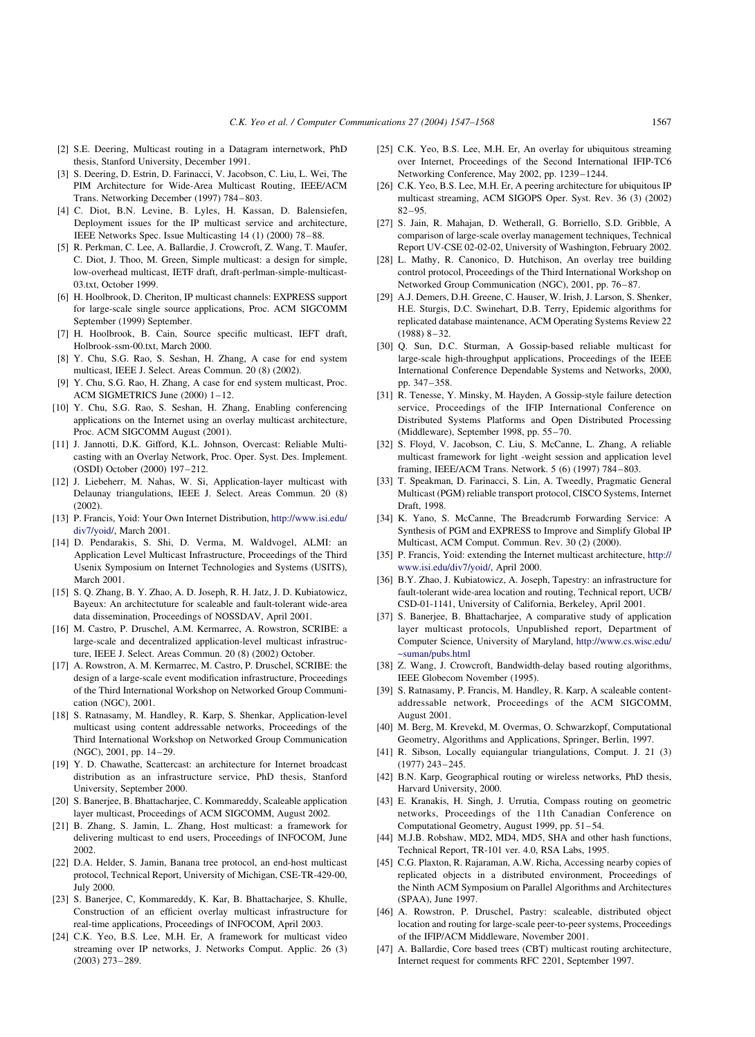- <span id="page-20-0"></span>[2] S.E. Deering, Multicast routing in a Datagram internetwork, PhD thesis, Stanford University, December 1991.
- [3] S. Deering, D. Estrin, D. Farinacci, V. Jacobson, C. Liu, L. Wei, The PIM Architecture for Wide-Area Multicast Routing, IEEE/ACM Trans. Networking December (1997) 784–803.
- [4] C. Diot, B.N. Levine, B. Lyles, H. Kassan, D. Balensiefen, Deployment issues for the IP multicast service and architecture, IEEE Networks Spec. Issue Multicasting 14 (1) (2000) 78–88.
- [5] R. Perkman, C. Lee, A. Ballardie, J. Crowcroft, Z. Wang, T. Maufer, C. Diot, J. Thoo, M. Green, Simple multicast: a design for simple, low-overhead multicast, IETF draft, draft-perlman-simple-multicast-03.txt, October 1999.
- [6] H. Hoolbrook, D. Cheriton, IP multicast channels: EXPRESS support for large-scale single source applications, Proc. ACM SIGCOMM September (1999) September.
- [7] H. Hoolbrook, B. Cain, Source specific multicast, IEFT draft, Holbrook-ssm-00.txt, March 2000.
- [8] Y. Chu, S.G. Rao, S. Seshan, H. Zhang, A case for end system multicast, IEEE J. Select. Areas Commun. 20 (8) (2002).
- [9] Y. Chu, S.G. Rao, H. Zhang, A case for end system multicast, Proc. ACM SIGMETRICS June (2000) 1–12.
- [10] Y. Chu, S.G. Rao, S. Seshan, H. Zhang, Enabling conferencing applications on the Internet using an overlay multicast architecture, Proc. ACM SIGCOMM August (2001).
- [11] J. Jannotti, D.K. Gifford, K.L. Johnson, Overcast: Reliable Multicasting with an Overlay Network, Proc. Oper. Syst. Des. Implement. (OSDI) October (2000) 197–212.
- [12] J. Liebeherr, M. Nahas, W. Si, Application-layer multicast with Delaunay triangulations, IEEE J. Select. Areas Commun. 20 (8) (2002).
- [13] P. Francis, Yoid: Your Own Internet Distribution, [http://www.isi.edu/](http://www.isi.edu/div7/yoid/) [div7/yoid/,](http://www.isi.edu/div7/yoid/) March 2001.
- [14] D. Pendarakis, S. Shi, D. Verma, M. Waldvogel, ALMI: an Application Level Multicast Infrastructure, Proceedings of the Third Usenix Symposium on Internet Technologies and Systems (USITS), March 2001.
- [15] S. Q. Zhang, B. Y. Zhao, A. D. Joseph, R. H. Jatz, J. D. Kubiatowicz, Bayeux: An architectuture for scaleable and fault-tolerant wide-area data dissemination, Proceedings of NOSSDAV, April 2001.
- [16] M. Castro, P. Druschel, A.M. Kermarrec, A. Rowstron, SCRIBE: a large-scale and decentralized application-level multicast infrastructure, IEEE J. Select. Areas Commun. 20 (8) (2002) October.
- [17] A. Rowstron, A. M. Kermarrec, M. Castro, P. Druschel, SCRIBE: the design of a large-scale event modification infrastructure, Proceedings of the Third International Workshop on Networked Group Communication (NGC), 2001.
- [18] S. Ratnasamy, M. Handley, R. Karp, S. Shenkar, Application-level multicast using content addressable networks, Proceedings of the Third International Workshop on Networked Group Communication (NGC), 2001, pp. 14–29.
- [19] Y. D. Chawathe, Scattercast: an architecture for Internet broadcast distribution as an infrastructure service, PhD thesis, Stanford University, September 2000.
- [20] S. Banerjee, B. Bhattacharjee, C. Kommareddy, Scaleable application layer multicast, Proceedings of ACM SIGCOMM, August 2002.
- [21] B. Zhang, S. Jamin, L. Zhang, Host multicast: a framework for delivering multicast to end users, Proceedings of INFOCOM, June 2002.
- [22] D.A. Helder, S. Jamin, Banana tree protocol, an end-host multicast protocol, Technical Report, University of Michigan, CSE-TR-429-00, July 2000.
- [23] S. Banerjee, C, Kommareddy, K. Kar, B. Bhattacharjee, S. Khulle, Construction of an efficient overlay multicast infrastructure for real-time applications, Proceedings of INFOCOM, April 2003.
- [24] C.K. Yeo, B.S. Lee, M.H. Er, A framework for multicast video streaming over IP networks, J. Networks Comput. Applic. 26 (3) (2003) 273–289.
- [25] C.K. Yeo, B.S. Lee, M.H. Er, An overlay for ubiquitous streaming over Internet, Proceedings of the Second International IFIP-TC6 Networking Conference, May 2002, pp. 1239–1244.
- [26] C.K. Yeo, B.S. Lee, M.H. Er, A peering architecture for ubiquitous IP multicast streaming, ACM SIGOPS Oper. Syst. Rev. 36 (3) (2002) 82–95.
- [27] S. Jain, R. Mahajan, D. Wetherall, G. Borriello, S.D. Gribble, A comparison of large-scale overlay management techniques, Technical Report UV-CSE 02-02-02, University of Washington, February 2002.
- [28] L. Mathy, R. Canonico, D. Hutchison, An overlay tree building control protocol, Proceedings of the Third International Workshop on Networked Group Communication (NGC), 2001, pp. 76–87.
- [29] A.J. Demers, D.H. Greene, C. Hauser, W. Irish, J. Larson, S. Shenker, H.E. Sturgis, D.C. Swinehart, D.B. Terry, Epidemic algorithms for replicated database maintenance, ACM Operating Systems Review 22 (1988) 8–32.
- [30] Q. Sun, D.C. Sturman, A Gossip-based reliable multicast for large-scale high-throughput applications, Proceedings of the IEEE International Conference Dependable Systems and Networks, 2000, pp. 347–358.
- [31] R. Tenesse, Y. Minsky, M. Hayden, A Gossip-style failure detection service, Proceedings of the IFIP International Conference on Distributed Systems Platforms and Open Distributed Processing (Middleware), September 1998, pp. 55–70.
- [32] S. Floyd, V. Jacobson, C. Liu, S. McCanne, L. Zhang, A reliable multicast framework for light -weight session and application level framing, IEEE/ACM Trans. Network. 5 (6) (1997) 784–803.
- [33] T. Speakman, D. Farinacci, S. Lin, A. Tweedly, Pragmatic General Multicast (PGM) reliable transport protocol, CISCO Systems, Internet Draft, 1998.
- [34] K. Yano, S. McCanne, The Breadcrumb Forwarding Service: A Synthesis of PGM and EXPRESS to Improve and Simplify Global IP Multicast, ACM Comput. Commun. Rev. 30 (2) (2000).
- [35] P. Francis, Yoid: extending the Internet multicast architecture, [http://](http://www.isi.edu/div7/yoid/) [www.isi.edu/div7/yoid/,](http://www.isi.edu/div7/yoid/) April 2000.
- [36] B.Y. Zhao, J. Kubiatowicz, A. Joseph, Tapestry: an infrastructure for fault-tolerant wide-area location and routing, Technical report, UCB/ CSD-01-1141, University of California, Berkeley, April 2001.
- [37] S. Banerjee, B. Bhattacharjee, A comparative study of application layer multicast protocols, Unpublished report, Department of Computer Science, University of Maryland, [http://www.cs.wisc.edu/](http://www.cs.wisc.edu/suman/pubs.html) [~suman/pubs.html](http://www.cs.wisc.edu/suman/pubs.html)
- [38] Z. Wang, J. Crowcroft, Bandwidth-delay based routing algorithms, IEEE Globecom November (1995).
- [39] S. Ratnasamy, P. Francis, M. Handley, R. Karp, A scaleable contentaddressable network, Proceedings of the ACM SIGCOMM, August 2001.
- [40] M. Berg, M. Krevekd, M. Overmas, O. Schwarzkopf, Computational Geometry, Algorithms and Applications, Springer, Berlin, 1997.
- [41] R. Sibson, Locally equiangular triangulations, Comput. J. 21 (3) (1977) 243–245.
- [42] B.N. Karp, Geographical routing or wireless networks, PhD thesis, Harvard University, 2000.
- [43] E. Kranakis, H. Singh, J. Urrutia, Compass routing on geometric networks, Proceedings of the 11th Canadian Conference on Computational Geometry, August 1999, pp. 51–54.
- [44] M.J.B. Robshaw, MD2, MD4, MD5, SHA and other hash functions, Technical Report, TR-101 ver. 4.0, RSA Labs, 1995.
- [45] C.G. Plaxton, R. Rajaraman, A.W. Richa, Accessing nearby copies of replicated objects in a distributed environment, Proceedings of the Ninth ACM Symposium on Parallel Algorithms and Architectures  $(SPAA)$ , June 1997.
- [46] A. Rowstron, P. Druschel, Pastry: scaleable, distributed object location and routing for large-scale peer-to-peer systems, Proceedings of the IFIP/ACM Middleware, November 2001.
- [47] A. Ballardie, Core based trees (CBT) multicast routing architecture, Internet request for comments RFC 2201, September 1997.